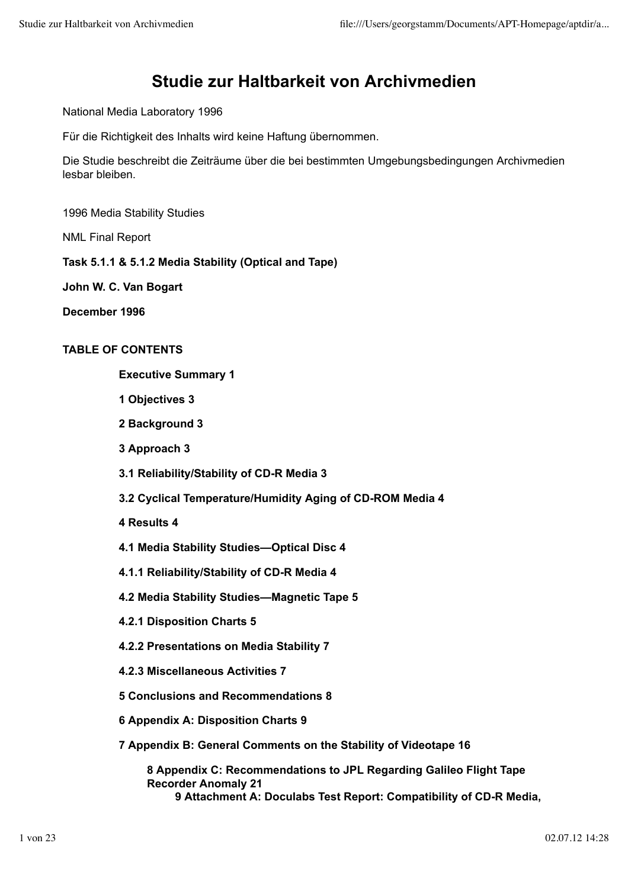# **Studie zur Haltbarkeit von Archivmedien**

National Media Laboratory 1996

Für die Richtigkeit des Inhalts wird keine Haftung übernommen.

Die Studie beschreibt die Zeiträume über die bei bestimmten Umgebungsbedingungen Archivmedien lesbar bleiben.

1996 Media Stability Studies

NML Final Report

**Task 5.1.1 & 5.1.2 Media Stability (Optical and Tape)**

**John W. C. Van Bogart**

**December 1996**

### **TABLE OF CONTENTS**

**Executive Summary 1**

- **1 Objectives 3**
- **2 Background 3**
- **3 Approach 3**
- **3.1 Reliability/Stability of CD-R Media 3**
- **3.2 Cyclical Temperature/Humidity Aging of CD-ROM Media 4**
- **4 Results 4**
- **4.1 Media Stability Studies—Optical Disc 4**
- **4.1.1 Reliability/Stability of CD-R Media 4**
- **4.2 Media Stability Studies—Magnetic Tape 5**
- **4.2.1 Disposition Charts 5**
- **4.2.2 Presentations on Media Stability 7**
- **4.2.3 Miscellaneous Activities 7**
- **5 Conclusions and Recommendations 8**
- **6 Appendix A: Disposition Charts 9**
- **7 Appendix B: General Comments on the Stability of Videotape 16**

**8 Appendix C: Recommendations to JPL Regarding Galileo Flight Tape Recorder Anomaly 21 9 Attachment A: Doculabs Test Report: Compatibility of CD-R Media,**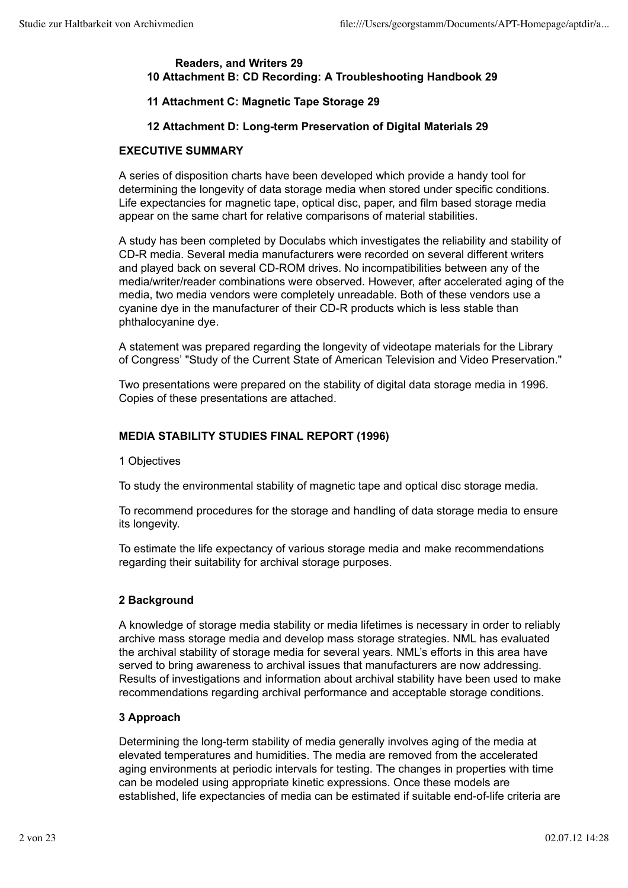### **Readers, and Writers 29 10 Attachment B: CD Recording: A Troubleshooting Handbook 29**

# **11 Attachment C: Magnetic Tape Storage 29**

# **12 Attachment D: Long-term Preservation of Digital Materials 29**

# **EXECUTIVE SUMMARY**

A series of disposition charts have been developed which provide a handy tool for determining the longevity of data storage media when stored under specific conditions. Life expectancies for magnetic tape, optical disc, paper, and film based storage media appear on the same chart for relative comparisons of material stabilities.

A study has been completed by Doculabs which investigates the reliability and stability of CD-R media. Several media manufacturers were recorded on several different writers and played back on several CD-ROM drives. No incompatibilities between any of the media/writer/reader combinations were observed. However, after accelerated aging of the media, two media vendors were completely unreadable. Both of these vendors use a cyanine dye in the manufacturer of their CD-R products which is less stable than phthalocyanine dye.

A statement was prepared regarding the longevity of videotape materials for the Library of Congress' "Study of the Current State of American Television and Video Preservation."

Two presentations were prepared on the stability of digital data storage media in 1996. Copies of these presentations are attached.

# **MEDIA STABILITY STUDIES FINAL REPORT (1996)**

# 1 Objectives

To study the environmental stability of magnetic tape and optical disc storage media.

To recommend procedures for the storage and handling of data storage media to ensure its longevity.

To estimate the life expectancy of various storage media and make recommendations regarding their suitability for archival storage purposes.

# **2 Background**

A knowledge of storage media stability or media lifetimes is necessary in order to reliably archive mass storage media and develop mass storage strategies. NML has evaluated the archival stability of storage media for several years. NML's efforts in this area have served to bring awareness to archival issues that manufacturers are now addressing. Results of investigations and information about archival stability have been used to make recommendations regarding archival performance and acceptable storage conditions.

# **3 Approach**

Determining the long-term stability of media generally involves aging of the media at elevated temperatures and humidities. The media are removed from the accelerated aging environments at periodic intervals for testing. The changes in properties with time can be modeled using appropriate kinetic expressions. Once these models are established, life expectancies of media can be estimated if suitable end-of-life criteria are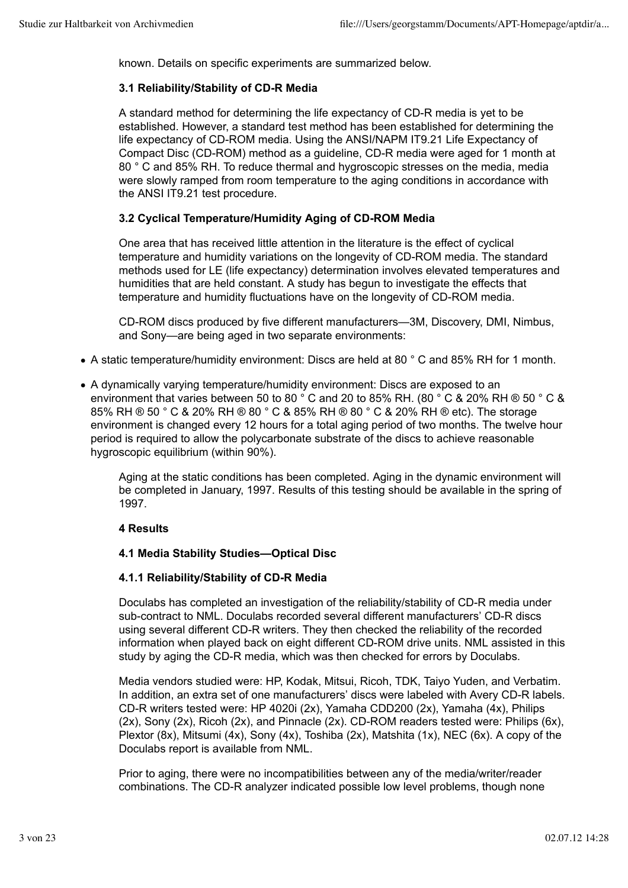known. Details on specific experiments are summarized below.

### **3.1 Reliability/Stability of CD-R Media**

A standard method for determining the life expectancy of CD-R media is yet to be established. However, a standard test method has been established for determining the life expectancy of CD-ROM media. Using the ANSI/NAPM IT9.21 Life Expectancy of Compact Disc (CD-ROM) method as a guideline, CD-R media were aged for 1 month at 80 ° C and 85% RH. To reduce thermal and hygroscopic stresses on the media, media were slowly ramped from room temperature to the aging conditions in accordance with the ANSI IT9.21 test procedure.

### **3.2 Cyclical Temperature/Humidity Aging of CD-ROM Media**

One area that has received little attention in the literature is the effect of cyclical temperature and humidity variations on the longevity of CD-ROM media. The standard methods used for LE (life expectancy) determination involves elevated temperatures and humidities that are held constant. A study has begun to investigate the effects that temperature and humidity fluctuations have on the longevity of CD-ROM media.

CD-ROM discs produced by five different manufacturers—3M, Discovery, DMI, Nimbus, and Sony—are being aged in two separate environments:

- A static temperature/humidity environment: Discs are held at 80 ° C and 85% RH for 1 month.
- A dynamically varying temperature/humidity environment: Discs are exposed to an environment that varies between 50 to 80 ° C and 20 to 85% RH. (80 ° C & 20% RH ® 50 ° C & 85% RH ® 50 ° C & 20% RH ® 80 ° C & 85% RH ® 80 ° C & 20% RH ® etc). The storage environment is changed every 12 hours for a total aging period of two months. The twelve hour period is required to allow the polycarbonate substrate of the discs to achieve reasonable hygroscopic equilibrium (within 90%).

Aging at the static conditions has been completed. Aging in the dynamic environment will be completed in January, 1997. Results of this testing should be available in the spring of 1997.

### **4 Results**

### **4.1 Media Stability Studies—Optical Disc**

### **4.1.1 Reliability/Stability of CD-R Media**

Doculabs has completed an investigation of the reliability/stability of CD-R media under sub-contract to NML. Doculabs recorded several different manufacturers' CD-R discs using several different CD-R writers. They then checked the reliability of the recorded information when played back on eight different CD-ROM drive units. NML assisted in this study by aging the CD-R media, which was then checked for errors by Doculabs.

Media vendors studied were: HP, Kodak, Mitsui, Ricoh, TDK, Taiyo Yuden, and Verbatim. In addition, an extra set of one manufacturers' discs were labeled with Avery CD-R labels. CD-R writers tested were: HP 4020i (2x), Yamaha CDD200 (2x), Yamaha (4x), Philips (2x), Sony (2x), Ricoh (2x), and Pinnacle (2x). CD-ROM readers tested were: Philips (6x), Plextor (8x), Mitsumi (4x), Sony (4x), Toshiba (2x), Matshita (1x), NEC (6x). A copy of the Doculabs report is available from NML.

Prior to aging, there were no incompatibilities between any of the media/writer/reader combinations. The CD-R analyzer indicated possible low level problems, though none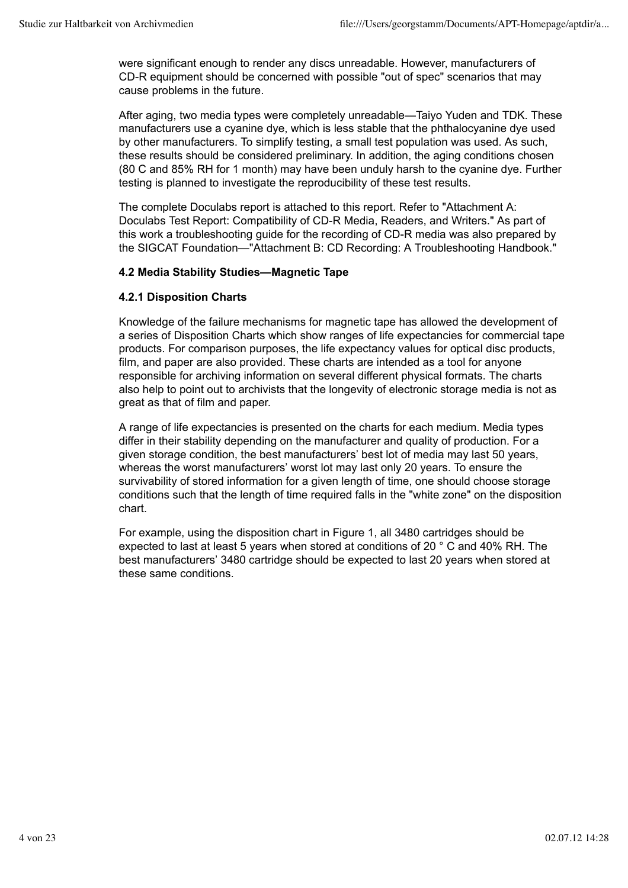were significant enough to render any discs unreadable. However, manufacturers of CD-R equipment should be concerned with possible "out of spec" scenarios that may cause problems in the future.

After aging, two media types were completely unreadable—Taiyo Yuden and TDK. These manufacturers use a cyanine dye, which is less stable that the phthalocyanine dye used by other manufacturers. To simplify testing, a small test population was used. As such, these results should be considered preliminary. In addition, the aging conditions chosen (80 C and 85% RH for 1 month) may have been unduly harsh to the cyanine dye. Further testing is planned to investigate the reproducibility of these test results.

The complete Doculabs report is attached to this report. Refer to "Attachment A: Doculabs Test Report: Compatibility of CD-R Media, Readers, and Writers." As part of this work a troubleshooting guide for the recording of CD-R media was also prepared by the SIGCAT Foundation—"Attachment B: CD Recording: A Troubleshooting Handbook."

### **4.2 Media Stability Studies—Magnetic Tape**

### **4.2.1 Disposition Charts**

Knowledge of the failure mechanisms for magnetic tape has allowed the development of a series of Disposition Charts which show ranges of life expectancies for commercial tape products. For comparison purposes, the life expectancy values for optical disc products, film, and paper are also provided. These charts are intended as a tool for anyone responsible for archiving information on several different physical formats. The charts also help to point out to archivists that the longevity of electronic storage media is not as great as that of film and paper.

A range of life expectancies is presented on the charts for each medium. Media types differ in their stability depending on the manufacturer and quality of production. For a given storage condition, the best manufacturers' best lot of media may last 50 years, whereas the worst manufacturers' worst lot may last only 20 years. To ensure the survivability of stored information for a given length of time, one should choose storage conditions such that the length of time required falls in the "white zone" on the disposition chart.

For example, using the disposition chart in Figure 1, all 3480 cartridges should be expected to last at least 5 years when stored at conditions of 20 ° C and 40% RH. The best manufacturers' 3480 cartridge should be expected to last 20 years when stored at these same conditions.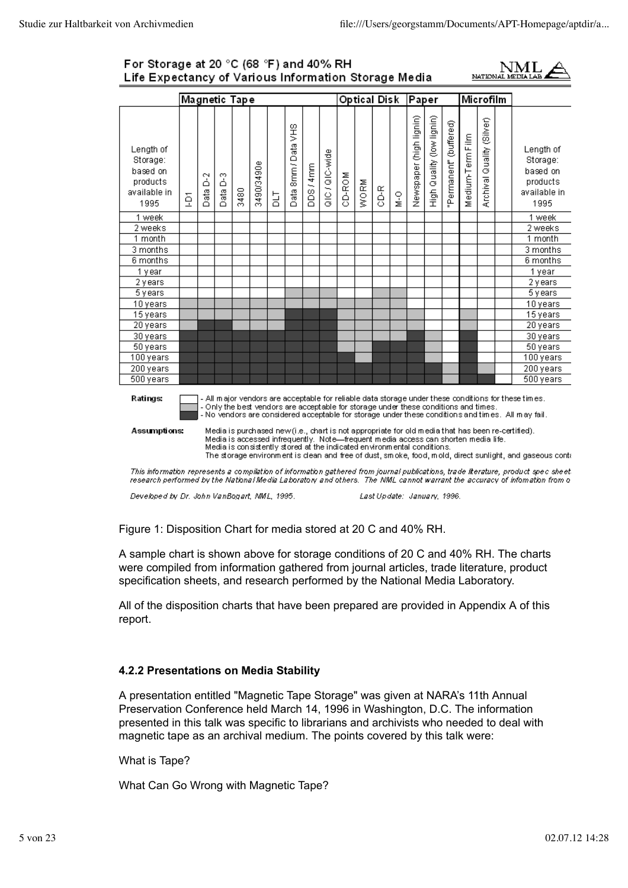### For Storage at 20 °C (68 °F) and 40% RH Life Expectancy of Various Information Storage Media



|                                                                       |   |                     |                             | Magnetic Tape                                                           |            |   |                     |           |                |        | Optical Disk |      |               | Paper                   |                           |                       |                                                                                      | Microfilm                       |                                                                                                                                                                                                                        |
|-----------------------------------------------------------------------|---|---------------------|-----------------------------|-------------------------------------------------------------------------|------------|---|---------------------|-----------|----------------|--------|--------------|------|---------------|-------------------------|---------------------------|-----------------------|--------------------------------------------------------------------------------------|---------------------------------|------------------------------------------------------------------------------------------------------------------------------------------------------------------------------------------------------------------------|
| Length of<br>Storage:<br>based on<br>products<br>available in<br>1995 | ğ | ă<br>æ<br>$\bigcap$ | Ø<br>۵<br>ුසු<br>$\bigcirc$ | 3480                                                                    | 3490/3490e | 금 | Data 8mm / Data VHS | DDS / 4mm | alC / QIC-wide | CD-ROM | WORM         | 3-GO | $\frac{0}{2}$ | Newspaper (high lignin) | High Quality (low lignin) | Permanent" (buffered) | Medium-Term Film                                                                     | (Silver)<br>Quality<br>Archival | Length of<br>Storage:<br>based on<br>products<br>available in<br>1995                                                                                                                                                  |
| 1 week                                                                |   |                     |                             |                                                                         |            |   |                     |           |                |        |              |      |               |                         |                           |                       |                                                                                      |                                 | 1 week                                                                                                                                                                                                                 |
| 2 weeks                                                               |   |                     |                             |                                                                         |            |   |                     |           |                |        |              |      |               |                         |                           |                       |                                                                                      |                                 | 2 weeks                                                                                                                                                                                                                |
| 1 month                                                               |   |                     |                             |                                                                         |            |   |                     |           |                |        |              |      |               |                         |                           |                       |                                                                                      |                                 | 1 month                                                                                                                                                                                                                |
| 3 months                                                              |   |                     |                             |                                                                         |            |   |                     |           |                |        |              |      |               |                         |                           |                       |                                                                                      |                                 | 3 months                                                                                                                                                                                                               |
| 6 months                                                              |   |                     |                             |                                                                         |            |   |                     |           |                |        |              |      |               |                         |                           |                       |                                                                                      |                                 | 6 months                                                                                                                                                                                                               |
| 1 year                                                                |   |                     |                             |                                                                         |            |   |                     |           |                |        |              |      |               |                         |                           |                       |                                                                                      |                                 | 1 year                                                                                                                                                                                                                 |
| 2 years                                                               |   |                     |                             |                                                                         |            |   |                     |           |                |        |              |      |               |                         |                           |                       |                                                                                      |                                 | 2 years                                                                                                                                                                                                                |
| 5 years                                                               |   |                     |                             |                                                                         |            |   |                     |           |                |        |              |      |               |                         |                           |                       |                                                                                      |                                 | 5 years                                                                                                                                                                                                                |
| 10 years                                                              |   |                     |                             |                                                                         |            |   |                     |           |                |        |              |      |               |                         |                           |                       |                                                                                      |                                 | 10 years                                                                                                                                                                                                               |
| 15 years                                                              |   |                     |                             |                                                                         |            |   |                     |           |                |        |              |      |               |                         |                           |                       |                                                                                      |                                 | 15 years                                                                                                                                                                                                               |
| 20 years                                                              |   |                     |                             |                                                                         |            |   |                     |           |                |        |              |      |               |                         |                           |                       |                                                                                      |                                 | 20 years                                                                                                                                                                                                               |
| 30 years                                                              |   |                     |                             |                                                                         |            |   |                     |           |                |        |              |      |               |                         |                           |                       |                                                                                      |                                 | 30 years                                                                                                                                                                                                               |
| 50 years                                                              |   |                     |                             |                                                                         |            |   |                     |           |                |        |              |      |               |                         |                           |                       |                                                                                      |                                 | 50 years                                                                                                                                                                                                               |
| 100 years                                                             |   |                     |                             |                                                                         |            |   |                     |           |                |        |              |      |               |                         |                           |                       |                                                                                      |                                 | 100 years                                                                                                                                                                                                              |
| 200 years                                                             |   |                     |                             |                                                                         |            |   |                     |           |                |        |              |      |               |                         |                           |                       |                                                                                      |                                 | 200 years                                                                                                                                                                                                              |
| 500 years                                                             |   |                     |                             |                                                                         |            |   |                     |           |                |        |              |      |               |                         |                           |                       |                                                                                      |                                 | $\overline{500}$ years                                                                                                                                                                                                 |
| <b>Ratings:</b>                                                       |   |                     |                             |                                                                         |            |   |                     |           |                |        |              |      |               |                         |                           |                       | - Only the best vendors are acceptable for storage under these conditions and times. |                                 | - All major vendors are acceptable for reliable data storage under these conditions for these times.<br>- No vendors are considered acceptable for storage under these conditions and times. All may fail.             |
| Assumptions:                                                          |   |                     |                             | Media is consistently stored at the indicated environmental conditions. |            |   |                     |           |                |        |              |      |               |                         |                           |                       | Media is accessed infrequently. Note—frequent media access can shorten media life.   |                                 | Media is purchased new (i.e., chart is not appropriate for old media that has been re-certified).<br>The storage environment is dean and free of dust, smoke, food, mold, direct sunlight, and gaseous cont $\epsilon$ |

This information represents a compilation of information gathered from journal publications, trade literature, product spec sheet.<br>research performed by the National Media Laboratory and others. The NML cannot warrant the

Developed by Dr. John VanBogart, NML, 1995.

Last Update: January, 1996.

Figure 1: Disposition Chart for media stored at 20 C and 40% RH.

A sample chart is shown above for storage conditions of 20 C and 40% RH. The charts were compiled from information gathered from journal articles, trade literature, product specification sheets, and research performed by the National Media Laboratory.

All of the disposition charts that have been prepared are provided in Appendix A of this report.

### **4.2.2 Presentations on Media Stability**

A presentation entitled "Magnetic Tape Storage" was given at NARA's 11th Annual Preservation Conference held March 14, 1996 in Washington, D.C. The information presented in this talk was specific to librarians and archivists who needed to deal with magnetic tape as an archival medium. The points covered by this talk were:

What is Tape?

What Can Go Wrong with Magnetic Tape?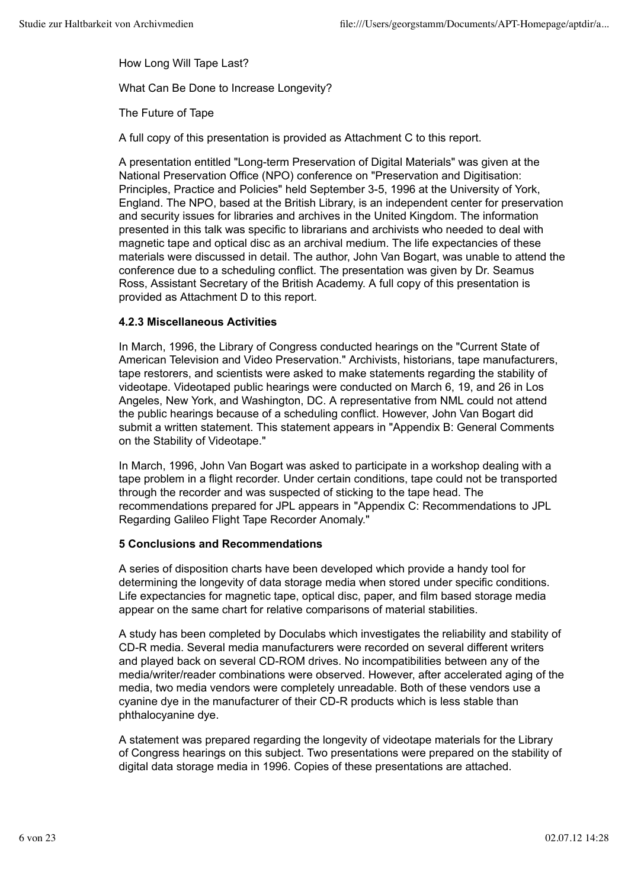How Long Will Tape Last?

What Can Be Done to Increase Longevity?

The Future of Tape

A full copy of this presentation is provided as Attachment C to this report.

A presentation entitled "Long-term Preservation of Digital Materials" was given at the National Preservation Office (NPO) conference on "Preservation and Digitisation: Principles, Practice and Policies" held September 3-5, 1996 at the University of York, England. The NPO, based at the British Library, is an independent center for preservation and security issues for libraries and archives in the United Kingdom. The information presented in this talk was specific to librarians and archivists who needed to deal with magnetic tape and optical disc as an archival medium. The life expectancies of these materials were discussed in detail. The author, John Van Bogart, was unable to attend the conference due to a scheduling conflict. The presentation was given by Dr. Seamus Ross, Assistant Secretary of the British Academy. A full copy of this presentation is provided as Attachment D to this report.

### **4.2.3 Miscellaneous Activities**

In March, 1996, the Library of Congress conducted hearings on the "Current State of American Television and Video Preservation." Archivists, historians, tape manufacturers, tape restorers, and scientists were asked to make statements regarding the stability of videotape. Videotaped public hearings were conducted on March 6, 19, and 26 in Los Angeles, New York, and Washington, DC. A representative from NML could not attend the public hearings because of a scheduling conflict. However, John Van Bogart did submit a written statement. This statement appears in "Appendix B: General Comments on the Stability of Videotape."

In March, 1996, John Van Bogart was asked to participate in a workshop dealing with a tape problem in a flight recorder. Under certain conditions, tape could not be transported through the recorder and was suspected of sticking to the tape head. The recommendations prepared for JPL appears in "Appendix C: Recommendations to JPL Regarding Galileo Flight Tape Recorder Anomaly."

### **5 Conclusions and Recommendations**

A series of disposition charts have been developed which provide a handy tool for determining the longevity of data storage media when stored under specific conditions. Life expectancies for magnetic tape, optical disc, paper, and film based storage media appear on the same chart for relative comparisons of material stabilities.

A study has been completed by Doculabs which investigates the reliability and stability of CD-R media. Several media manufacturers were recorded on several different writers and played back on several CD-ROM drives. No incompatibilities between any of the media/writer/reader combinations were observed. However, after accelerated aging of the media, two media vendors were completely unreadable. Both of these vendors use a cyanine dye in the manufacturer of their CD-R products which is less stable than phthalocyanine dye.

A statement was prepared regarding the longevity of videotape materials for the Library of Congress hearings on this subject. Two presentations were prepared on the stability of digital data storage media in 1996. Copies of these presentations are attached.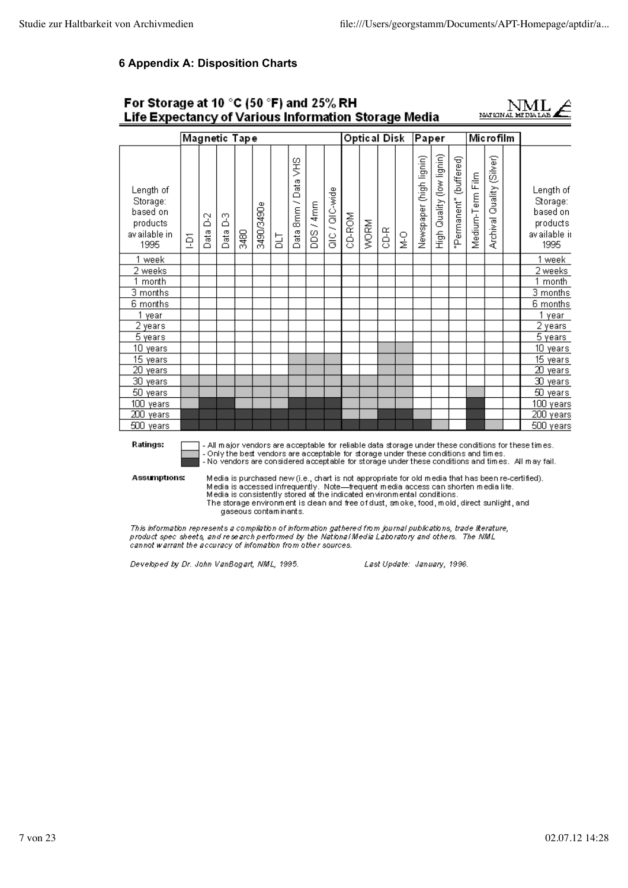# **6 Appendix A: Disposition Charts**

| For Storage at 10 °C (50 °F) and 25% RH<br>Life Expectancy of Various Information Storage Media                                                                                                                                                                                                                                    |   |               |                       |      |                       |   |                       |           |                 |        |              |      |        |                                                                         |                           |                           |                  | NATIONAL                                                                                                                                                                                                                                                                                                                                                                     |                                                                                                                                                                                                            |
|------------------------------------------------------------------------------------------------------------------------------------------------------------------------------------------------------------------------------------------------------------------------------------------------------------------------------------|---|---------------|-----------------------|------|-----------------------|---|-----------------------|-----------|-----------------|--------|--------------|------|--------|-------------------------------------------------------------------------|---------------------------|---------------------------|------------------|------------------------------------------------------------------------------------------------------------------------------------------------------------------------------------------------------------------------------------------------------------------------------------------------------------------------------------------------------------------------------|------------------------------------------------------------------------------------------------------------------------------------------------------------------------------------------------------------|
|                                                                                                                                                                                                                                                                                                                                    |   | Magnetic Tape |                       |      |                       |   |                       |           |                 |        | Optical Disk |      |        | Paper                                                                   |                           |                           |                  | Microfilm                                                                                                                                                                                                                                                                                                                                                                    |                                                                                                                                                                                                            |
| Length of<br>Storage:<br>based on<br>products<br>av ailable in<br>1995                                                                                                                                                                                                                                                             | ğ | 2<br>Data     | $\frac{3}{2}$<br>Data | 3480 | 3490/3490e            | 급 | ŠН<br>Data 8mm / Data | DDS / 4mm | al C / QIC-wide | CD-ROM | <b>WORM</b>  | CD-R | 오<br>호 | Newspaper (high lignin)                                                 | High Quality (low lignin) | ermanent" (buffered)<br>α | Medium-Term Film | Quality (Silver)<br>Archival                                                                                                                                                                                                                                                                                                                                                 | Length of<br>Storage:<br>based on<br>products<br>av ailable ir<br>1995                                                                                                                                     |
| 1 week<br>2 weeks<br>1 month<br>3 months<br>6 months<br>1 year<br>$\overline{2}$ years                                                                                                                                                                                                                                             |   |               |                       |      |                       |   |                       |           |                 |        |              |      |        |                                                                         |                           |                           |                  |                                                                                                                                                                                                                                                                                                                                                                              | 1 week<br>2 weeks<br>1 month<br>3 months<br>6 months<br>1 year<br>2 years                                                                                                                                  |
| 5 years<br>10 years<br>15 years<br>20 years<br>30 years                                                                                                                                                                                                                                                                            |   |               |                       |      |                       |   |                       |           |                 |        |              |      |        |                                                                         |                           |                           |                  |                                                                                                                                                                                                                                                                                                                                                                              | 5 years<br>10 years<br>15 years<br>$20$ years<br>30 years                                                                                                                                                  |
| 50 years<br>100 years<br>200 years<br>500 years                                                                                                                                                                                                                                                                                    |   |               |                       |      |                       |   |                       |           |                 |        |              |      |        |                                                                         |                           |                           |                  |                                                                                                                                                                                                                                                                                                                                                                              | 50 years<br>100 years<br>200 years<br>500 years                                                                                                                                                            |
| Ratings:<br>Assumptions:                                                                                                                                                                                                                                                                                                           |   |               |                       |      | gaseous contaminants. |   |                       |           |                 |        |              |      |        | Media is consistently stored at the indicated environmental conditions. |                           |                           |                  | - Only the best vendors are acceptable for storage under these conditions and times.<br>Media is purchased new (i.e., chart is not appropriate for old media that has been re-certified).<br>Media is accessed infrequently. Note—frequent media access can shorten media life.<br>The storage environment is dean and free of dust, smoke, food, mold, direct sunlight, and | - All major vendors are acceptable for reliable data storage under these conditions for these times.<br>- No vendors are considered acceptable for storage under these conditions and times. All may fail. |
| This information represents a compilation of information gathered from journal publications, trade literature,<br>product spec sheets, and research performed by the National Media Laboratory and others. The NML<br>cannot warrant the accuracy of infomation from other sources.<br>Developed by Dr. John VanBogart, NML, 1995. |   |               |                       |      |                       |   |                       |           |                 |        |              |      |        | Last Update: January, 1996.                                             |                           |                           |                  |                                                                                                                                                                                                                                                                                                                                                                              |                                                                                                                                                                                                            |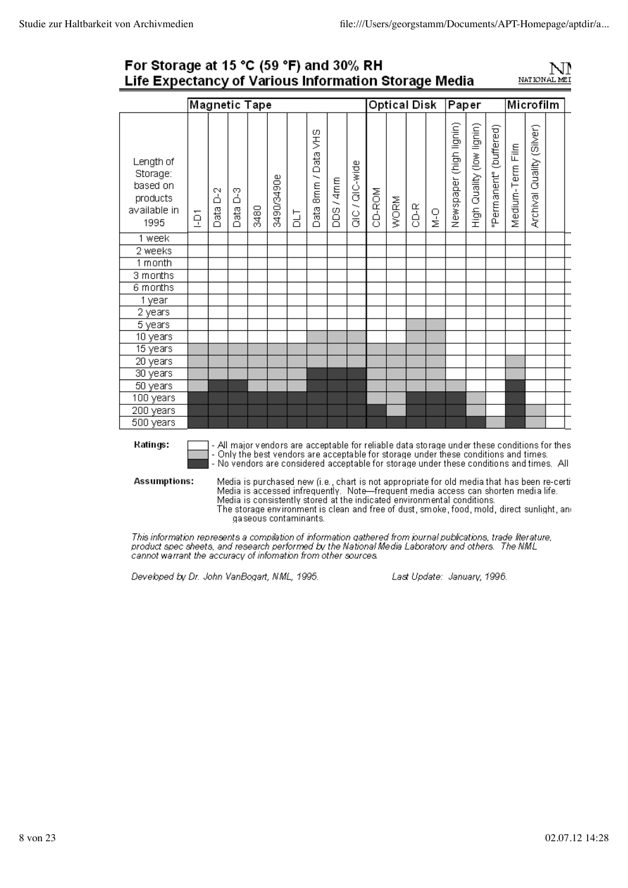### For Storage at 15 °C (59 °F) and 30% RH Life Expectancy of Various Information Storage Media



|                                                                       |   |           | <b>Magnetic Tape</b>                                                                 |      |            |            |                             |                   |                  |        | <b>Optical Disk</b> |     |        | Paper                                                                                        |                              |                        |                  | Microfilm                 |  |
|-----------------------------------------------------------------------|---|-----------|--------------------------------------------------------------------------------------|------|------------|------------|-----------------------------|-------------------|------------------|--------|---------------------|-----|--------|----------------------------------------------------------------------------------------------|------------------------------|------------------------|------------------|---------------------------|--|
| Length of<br>Storage:<br>based on<br>products<br>available in<br>1995 | ā | ă<br>Data | ှိ<br>Data                                                                           | 3480 | 3490/3490e | <b>TTO</b> | SHS<br>Data<br>8mm/<br>Data | / 4mm<br>iso<br>B | $Q(C \mid W)$ de | CD-ROM | WORM                | 인-K | o<br>N | Newspaper (high lignin)                                                                      | Quality (low lignin)<br>High | 'Permanent" (buffered) | Medium-Term Film | Archival Quality (Silver) |  |
| 1 week                                                                |   |           |                                                                                      |      |            |            |                             |                   |                  |        |                     |     |        |                                                                                              |                              |                        |                  |                           |  |
| 2 weeks                                                               |   |           |                                                                                      |      |            |            |                             |                   |                  |        |                     |     |        |                                                                                              |                              |                        |                  |                           |  |
| 1 month                                                               |   |           |                                                                                      |      |            |            |                             |                   |                  |        |                     |     |        |                                                                                              |                              |                        |                  |                           |  |
| 3 months                                                              |   |           |                                                                                      |      |            |            |                             |                   |                  |        |                     |     |        |                                                                                              |                              |                        |                  |                           |  |
| 6 months                                                              |   |           |                                                                                      |      |            |            |                             |                   |                  |        |                     |     |        |                                                                                              |                              |                        |                  |                           |  |
| 1 year                                                                |   |           |                                                                                      |      |            |            |                             |                   |                  |        |                     |     |        |                                                                                              |                              |                        |                  |                           |  |
| 2 years                                                               |   |           |                                                                                      |      |            |            |                             |                   |                  |        |                     |     |        |                                                                                              |                              |                        |                  |                           |  |
| 5 years                                                               |   |           |                                                                                      |      |            |            |                             |                   |                  |        |                     |     |        |                                                                                              |                              |                        |                  |                           |  |
| 10 years                                                              |   |           |                                                                                      |      |            |            |                             |                   |                  |        |                     |     |        |                                                                                              |                              |                        |                  |                           |  |
| 15 years                                                              |   |           |                                                                                      |      |            |            |                             |                   |                  |        |                     |     |        |                                                                                              |                              |                        |                  |                           |  |
| 20 years                                                              |   |           |                                                                                      |      |            |            |                             |                   |                  |        |                     |     |        |                                                                                              |                              |                        |                  |                           |  |
| 30 years                                                              |   |           |                                                                                      |      |            |            |                             |                   |                  |        |                     |     |        |                                                                                              |                              |                        |                  |                           |  |
| 50 years                                                              |   |           |                                                                                      |      |            |            |                             |                   |                  |        |                     |     |        |                                                                                              |                              |                        |                  |                           |  |
| 100 years                                                             |   |           |                                                                                      |      |            |            |                             |                   |                  |        |                     |     |        |                                                                                              |                              |                        |                  |                           |  |
| 200 years                                                             |   |           |                                                                                      |      |            |            |                             |                   |                  |        |                     |     |        |                                                                                              |                              |                        |                  |                           |  |
| 500 years                                                             |   |           |                                                                                      |      |            |            |                             |                   |                  |        |                     |     |        |                                                                                              |                              |                        |                  |                           |  |
| Ratings:                                                              |   |           | - Only the best vendors are acceptable for storage under these conditions and times. |      |            |            |                             |                   |                  |        |                     |     |        | - All major vendors are acceptable for reliable data storage under these conditions for thes |                              |                        |                  |                           |  |

- No vendors are considered acceptable for storage under these conditions and times. All

Assumptions:

Media is purchased new (i.e., chart is not appropriate for old media that has been re-certi<br>Media is accessed infrequently. Note—frequent media access can shorten media life.<br>Media is consistently stored at the indicated e The storage environment is clean and free of dust, smoke, food, mold, direct sunlight, and

gaseous contaminants.

This information represents a compilation of information gathered from journal publications, trade literature,<br>product spec sheets, and research performed by the National Media Laboratory and others. The NML cannot warrant the accuracy of infornation from other sources.

Developed by Dr. John VanBogart, NML, 1995.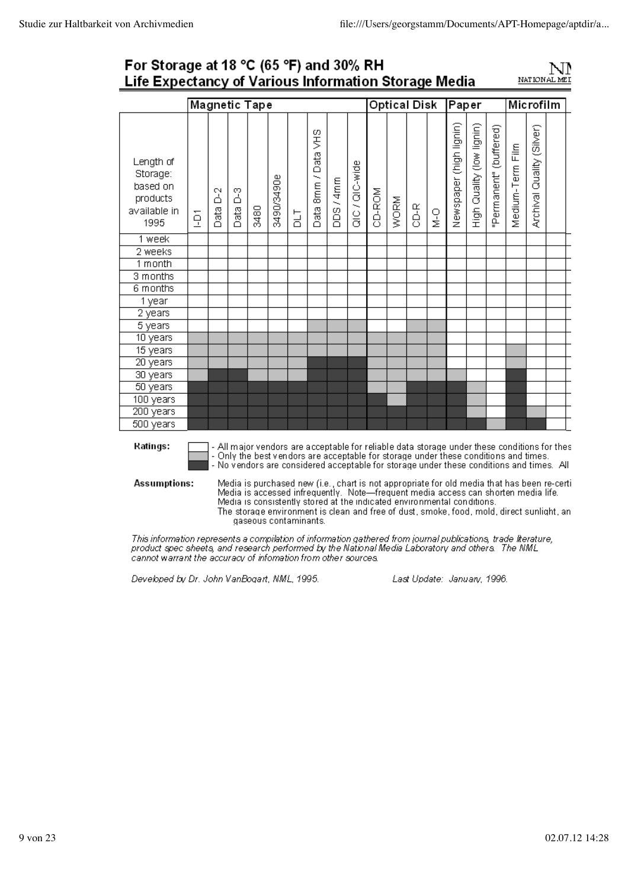# For Storage at 18 °C (65 °F) and 30% RH Life Expectancy of Various Information Storage Media



|                                                                       |                |           |            | <b>Magnetic Tape</b>                                                                                                                                                                   |            |    |                           |         |                |        |      | <b>Optical Disk</b> |        | Paper                   |                           |                        |                  | Microfilm                 |                                                                                                                                                                                                                                                                                         |
|-----------------------------------------------------------------------|----------------|-----------|------------|----------------------------------------------------------------------------------------------------------------------------------------------------------------------------------------|------------|----|---------------------------|---------|----------------|--------|------|---------------------|--------|-------------------------|---------------------------|------------------------|------------------|---------------------------|-----------------------------------------------------------------------------------------------------------------------------------------------------------------------------------------------------------------------------------------------------------------------------------------|
| Length of<br>Storage:<br>based on<br>products<br>available in<br>1995 | $\overline{q}$ | ă<br>Data | ှိ<br>Data | 3480                                                                                                                                                                                   | 3490/3490e | Ъh | SHA<br>8mm / Data<br>Data | DDS/4mm | $Q(C / Q(C-w)$ | CD-ROM | WORM | CD-R                | o<br>M | Newspaper (high lignin) | High Quality (low lignin) | 'Permanent" (buffered) | Medium-Term Film | Archival Quality (Silver) |                                                                                                                                                                                                                                                                                         |
| 1 week                                                                |                |           |            |                                                                                                                                                                                        |            |    |                           |         |                |        |      |                     |        |                         |                           |                        |                  |                           |                                                                                                                                                                                                                                                                                         |
| 2 weeks                                                               |                |           |            |                                                                                                                                                                                        |            |    |                           |         |                |        |      |                     |        |                         |                           |                        |                  |                           |                                                                                                                                                                                                                                                                                         |
| 1 month                                                               |                |           |            |                                                                                                                                                                                        |            |    |                           |         |                |        |      |                     |        |                         |                           |                        |                  |                           |                                                                                                                                                                                                                                                                                         |
| 3 months                                                              |                |           |            |                                                                                                                                                                                        |            |    |                           |         |                |        |      |                     |        |                         |                           |                        |                  |                           |                                                                                                                                                                                                                                                                                         |
| 6 months                                                              |                |           |            |                                                                                                                                                                                        |            |    |                           |         |                |        |      |                     |        |                         |                           |                        |                  |                           |                                                                                                                                                                                                                                                                                         |
| 1 year                                                                |                |           |            |                                                                                                                                                                                        |            |    |                           |         |                |        |      |                     |        |                         |                           |                        |                  |                           |                                                                                                                                                                                                                                                                                         |
| 2 years                                                               |                |           |            |                                                                                                                                                                                        |            |    |                           |         |                |        |      |                     |        |                         |                           |                        |                  |                           |                                                                                                                                                                                                                                                                                         |
| 5 years                                                               |                |           |            |                                                                                                                                                                                        |            |    |                           |         |                |        |      |                     |        |                         |                           |                        |                  |                           |                                                                                                                                                                                                                                                                                         |
| 10 years                                                              |                |           |            |                                                                                                                                                                                        |            |    |                           |         |                |        |      |                     |        |                         |                           |                        |                  |                           |                                                                                                                                                                                                                                                                                         |
| 15 years                                                              |                |           |            |                                                                                                                                                                                        |            |    |                           |         |                |        |      |                     |        |                         |                           |                        |                  |                           |                                                                                                                                                                                                                                                                                         |
| 20 years                                                              |                |           |            |                                                                                                                                                                                        |            |    |                           |         |                |        |      |                     |        |                         |                           |                        |                  |                           |                                                                                                                                                                                                                                                                                         |
| 30 years                                                              |                |           |            |                                                                                                                                                                                        |            |    |                           |         |                |        |      |                     |        |                         |                           |                        |                  |                           |                                                                                                                                                                                                                                                                                         |
| 50 years                                                              |                |           |            |                                                                                                                                                                                        |            |    |                           |         |                |        |      |                     |        |                         |                           |                        |                  |                           |                                                                                                                                                                                                                                                                                         |
| 100 years                                                             |                |           |            |                                                                                                                                                                                        |            |    |                           |         |                |        |      |                     |        |                         |                           |                        |                  |                           |                                                                                                                                                                                                                                                                                         |
| 200 years                                                             |                |           |            |                                                                                                                                                                                        |            |    |                           |         |                |        |      |                     |        |                         |                           |                        |                  |                           |                                                                                                                                                                                                                                                                                         |
| 500 years                                                             |                |           |            |                                                                                                                                                                                        |            |    |                           |         |                |        |      |                     |        |                         |                           |                        |                  |                           |                                                                                                                                                                                                                                                                                         |
| <b>Ratings:</b><br>Assumptions:                                       |                |           |            | - Only the best vendors are acceptable for storage under these conditions and times.                                                                                                   |            |    |                           |         |                |        |      |                     |        |                         |                           |                        |                  |                           | - All major vendors are acceptable for reliable data storage under these conditions for thes<br>- No vendors are considered acceptable for storage under these conditions and times. All<br>Media is purchased new (i.e., chart is not appropriate for old media that has been re-certi |
|                                                                       |                |           |            | Media is accessed infrequently. Note-frequent media access can shorten media life.<br>Media is consistently stored at the indicated environmental conditions.<br>gaseous contaminants. |            |    |                           |         |                |        |      |                     |        |                         |                           |                        |                  |                           | The storage environment is clean and free of dust, smoke, food, mold, direct sunlight, an                                                                                                                                                                                               |

This information represents a compilation of information gathered from journal publications, trade literature,<br>product spec sheets, and research performed by the National Media Laboratory and others. The NML<br>cannot warrant

Developed by Dr. John VanBogart, NML, 1995.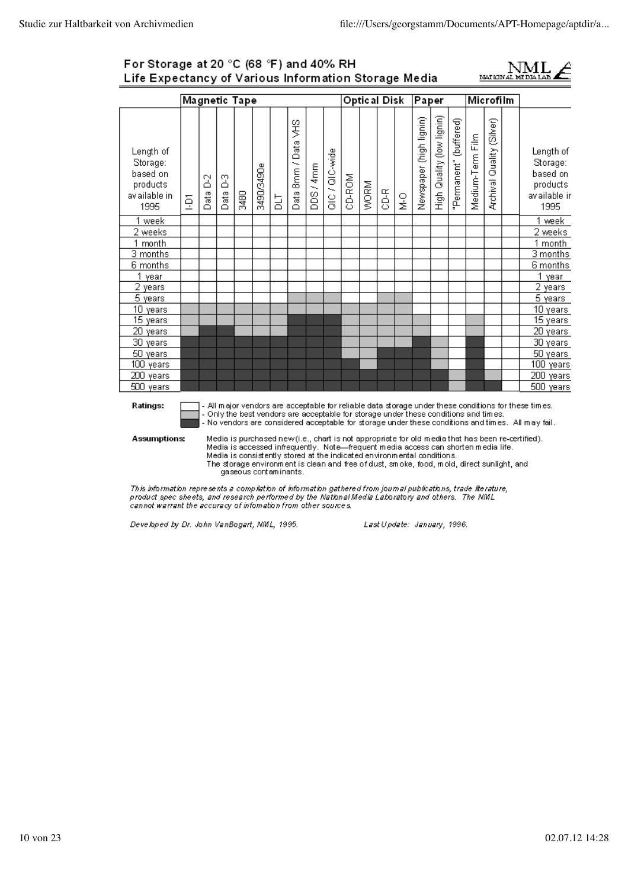### For Storage at 20 °C (68 °F) and 40% RH Life Expectancy of Various Information Storage Media



|                                                                        |   |           |           | <b>Magnetic Tape</b> |            |   |                                         |         |                 |                                                                                      | Optical Disk |     |        | Paper                   |                           |                        | Microfilm        |                              |                                                                                                                                                                                                            |
|------------------------------------------------------------------------|---|-----------|-----------|----------------------|------------|---|-----------------------------------------|---------|-----------------|--------------------------------------------------------------------------------------|--------------|-----|--------|-------------------------|---------------------------|------------------------|------------------|------------------------------|------------------------------------------------------------------------------------------------------------------------------------------------------------------------------------------------------------|
| Length of<br>Storage:<br>based on<br>products<br>av ailable in<br>1995 | Ģ | 2<br>Data | 2<br>Data | 5480                 | 3490/3490e | 능 | 9¥<br>Data<br>8mm/<br>Data <sup>1</sup> | DDS/4mm | al C / QIC-wide | CD-ROM                                                                               | WORM         | 3-G | Ο<br>Σ | Newspaper (high lignin) | High Quality (low lignin) | "Permanent" (buffered) | Medium-Term Film | Quality (Silver)<br>Archival | Length of<br>Storage:<br>based on<br>products<br>av ailable ir<br>1995                                                                                                                                     |
| week                                                                   |   |           |           |                      |            |   |                                         |         |                 |                                                                                      |              |     |        |                         |                           |                        |                  |                              | week                                                                                                                                                                                                       |
| 2 weeks                                                                |   |           |           |                      |            |   |                                         |         |                 |                                                                                      |              |     |        |                         |                           |                        |                  |                              | 2 weeks                                                                                                                                                                                                    |
| 1 month                                                                |   |           |           |                      |            |   |                                         |         |                 |                                                                                      |              |     |        |                         |                           |                        |                  |                              | 1 month                                                                                                                                                                                                    |
| 3 months                                                               |   |           |           |                      |            |   |                                         |         |                 |                                                                                      |              |     |        |                         |                           |                        |                  |                              | 3 months                                                                                                                                                                                                   |
| 6 months                                                               |   |           |           |                      |            |   |                                         |         |                 |                                                                                      |              |     |        |                         |                           |                        |                  |                              | 6 months                                                                                                                                                                                                   |
| 1 year                                                                 |   |           |           |                      |            |   |                                         |         |                 |                                                                                      |              |     |        |                         |                           |                        |                  |                              | 1<br>year                                                                                                                                                                                                  |
| 2 years                                                                |   |           |           |                      |            |   |                                         |         |                 |                                                                                      |              |     |        |                         |                           |                        |                  |                              | 2 years                                                                                                                                                                                                    |
| 5 years                                                                |   |           |           |                      |            |   |                                         |         |                 |                                                                                      |              |     |        |                         |                           |                        |                  |                              | 5 years                                                                                                                                                                                                    |
| 10 years                                                               |   |           |           |                      |            |   |                                         |         |                 |                                                                                      |              |     |        |                         |                           |                        |                  |                              | 10 years                                                                                                                                                                                                   |
| 15 years                                                               |   |           |           |                      |            |   |                                         |         |                 |                                                                                      |              |     |        |                         |                           |                        |                  |                              | $\overline{15}$ years                                                                                                                                                                                      |
| 20 years                                                               |   |           |           |                      |            |   |                                         |         |                 |                                                                                      |              |     |        |                         |                           |                        |                  |                              | <b>20</b> years                                                                                                                                                                                            |
| 30 years                                                               |   |           |           |                      |            |   |                                         |         |                 |                                                                                      |              |     |        |                         |                           |                        |                  |                              | 30 years                                                                                                                                                                                                   |
| 50 years                                                               |   |           |           |                      |            |   |                                         |         |                 |                                                                                      |              |     |        |                         |                           |                        |                  |                              | 50 years                                                                                                                                                                                                   |
| 100 years                                                              |   |           |           |                      |            |   |                                         |         |                 |                                                                                      |              |     |        |                         |                           |                        |                  |                              | 100 years                                                                                                                                                                                                  |
| 200 years                                                              |   |           |           |                      |            |   |                                         |         |                 |                                                                                      |              |     |        |                         |                           |                        |                  |                              | 200 years                                                                                                                                                                                                  |
| 500 years                                                              |   |           |           |                      |            |   |                                         |         |                 |                                                                                      |              |     |        |                         |                           |                        |                  |                              | 500 years                                                                                                                                                                                                  |
| Ratings:                                                               |   |           |           |                      |            |   |                                         |         |                 | - Only the best vendors are acceptable for storage under these conditions and times. |              |     |        |                         |                           |                        |                  |                              | - All major vendors are acceptable for reliable data storage under these conditions for these times.<br>- No vendors are considered acceptable for storage under these conditions and times. All may fail. |
| <b>Assumptions:</b>                                                    |   |           |           |                      |            |   |                                         |         |                 | Media is accessed infrequently. Note—frequent media access can shorten media life.   |              |     |        |                         |                           |                        |                  |                              | Media is purchased new (i.e., chart is not appropriate for old media that has been re-certified).                                                                                                          |

Media is consistently stored at the indicated environmental conditions. The storage environment is clean and free of dust, smoke, food, mold, direct sunlight, and<br>gaseous contaminants.

This information represents a compilation of information gathered from journal publications, trade literature,<br>product spec sheets, and research performed by the National Media Laboratory and others. The NML<br>cannot warrant

Developed by Dr. John VanBogart, NML, 1995.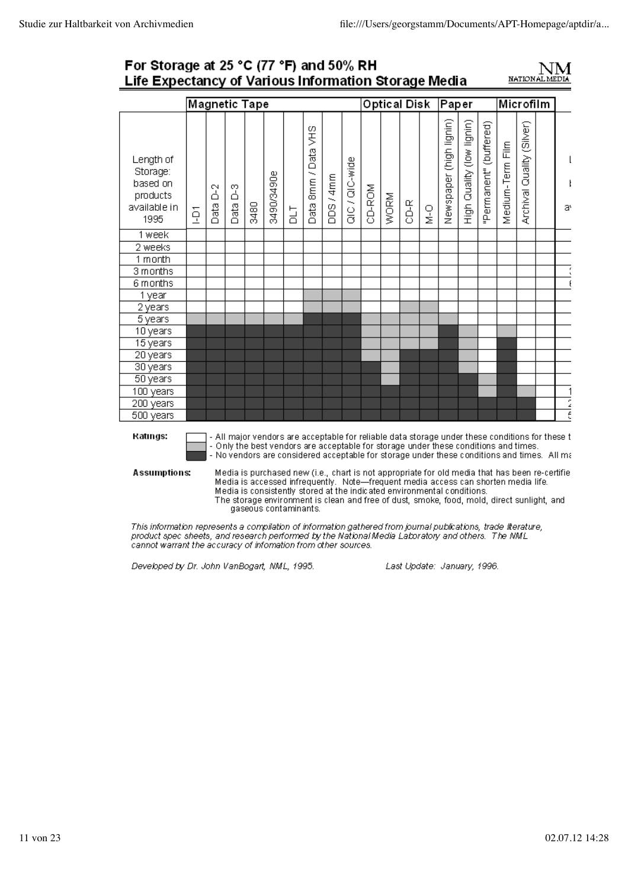# For Storage at 25 °C (77 °F) and 50% RH Life Expectancy of Various Information Storage Media



|                                                                       |   |           | <b>Magnetic Tape</b> |      |            |           |                              |             |                |        | <b>Optical Disk</b> |      |               | Paper                   |                           |                        | Microfilm                                                                                                                                                                                                                                                                              |                              |          |
|-----------------------------------------------------------------------|---|-----------|----------------------|------|------------|-----------|------------------------------|-------------|----------------|--------|---------------------|------|---------------|-------------------------|---------------------------|------------------------|----------------------------------------------------------------------------------------------------------------------------------------------------------------------------------------------------------------------------------------------------------------------------------------|------------------------------|----------|
| Length of<br>Storage:<br>based on<br>products<br>available in<br>1995 | ğ | ă<br>Data | ှိ<br>Data           | 3480 | 3490/3490e | <b>TT</b> | SHS<br>Data<br>Smm /<br>Data | /4mm<br>isa | $Q(C / Q(C-w)$ | CD-ROM | WORM                | CD-R | $\frac{0}{2}$ | Newspaper (high lignin) | High Quality (low lignin) | "Permanent" (buffered) | Medium-Term Film                                                                                                                                                                                                                                                                       | Quality (Silver)<br>Archival | I.<br>a, |
| 1 week                                                                |   |           |                      |      |            |           |                              |             |                |        |                     |      |               |                         |                           |                        |                                                                                                                                                                                                                                                                                        |                              |          |
| 2 weeks                                                               |   |           |                      |      |            |           |                              |             |                |        |                     |      |               |                         |                           |                        |                                                                                                                                                                                                                                                                                        |                              |          |
| 1 month                                                               |   |           |                      |      |            |           |                              |             |                |        |                     |      |               |                         |                           |                        |                                                                                                                                                                                                                                                                                        |                              |          |
| 3 months                                                              |   |           |                      |      |            |           |                              |             |                |        |                     |      |               |                         |                           |                        |                                                                                                                                                                                                                                                                                        |                              |          |
| 6 months                                                              |   |           |                      |      |            |           |                              |             |                |        |                     |      |               |                         |                           |                        |                                                                                                                                                                                                                                                                                        |                              |          |
| 1 year                                                                |   |           |                      |      |            |           |                              |             |                |        |                     |      |               |                         |                           |                        |                                                                                                                                                                                                                                                                                        |                              |          |
| 2 years                                                               |   |           |                      |      |            |           |                              |             |                |        |                     |      |               |                         |                           |                        |                                                                                                                                                                                                                                                                                        |                              |          |
| 5 years                                                               |   |           |                      |      |            |           |                              |             |                |        |                     |      |               |                         |                           |                        |                                                                                                                                                                                                                                                                                        |                              |          |
| 10 years                                                              |   |           |                      |      |            |           |                              |             |                |        |                     |      |               |                         |                           |                        |                                                                                                                                                                                                                                                                                        |                              |          |
| 15 years                                                              |   |           |                      |      |            |           |                              |             |                |        |                     |      |               |                         |                           |                        |                                                                                                                                                                                                                                                                                        |                              |          |
| 20 years                                                              |   |           |                      |      |            |           |                              |             |                |        |                     |      |               |                         |                           |                        |                                                                                                                                                                                                                                                                                        |                              |          |
| 30 years                                                              |   |           |                      |      |            |           |                              |             |                |        |                     |      |               |                         |                           |                        |                                                                                                                                                                                                                                                                                        |                              |          |
| 50 years                                                              |   |           |                      |      |            |           |                              |             |                |        |                     |      |               |                         |                           |                        |                                                                                                                                                                                                                                                                                        |                              |          |
| 100 years                                                             |   |           |                      |      |            |           |                              |             |                |        |                     |      |               |                         |                           |                        |                                                                                                                                                                                                                                                                                        |                              | 1        |
| 200 years                                                             |   |           |                      |      |            |           |                              |             |                |        |                     |      |               |                         |                           |                        |                                                                                                                                                                                                                                                                                        |                              | ī        |
| 500 years                                                             |   |           |                      |      |            |           |                              |             |                |        |                     |      |               |                         |                           |                        |                                                                                                                                                                                                                                                                                        |                              | έ        |
| Ratings:                                                              |   |           |                      |      |            |           |                              |             |                |        |                     |      |               |                         |                           |                        | - All major vendors are acceptable for reliable data storage under these conditions for these t<br>- Only the best vendors are acceptable for storage under these conditions and times.<br>- No vendors are considered acceptable for storage under these conditions and times. All ma |                              |          |
| Assumptions:                                                          |   |           |                      |      |            |           |                              |             |                |        |                     |      |               |                         |                           |                        | Media is purchased new (i.e., chart is not appropriate for old media that has been re-certifie<br>Media is accessed infrequently. Note—frequent media access can shorten media life.                                                                                                   |                              |          |

Media is consistently stored at the indicated environmental conditions. The storage environment is clean and free of dust, smoke, food, mold, direct sunlight, and gaseous contaminants.

This information represents a compilation of information gathered from journal publications, trade literature, product spec sheets, and research performed by the National Media Laboratory and others. The NML cannot warrant the accuracy of information from other sources.

Developed by Dr. John VanBogart, NML, 1995.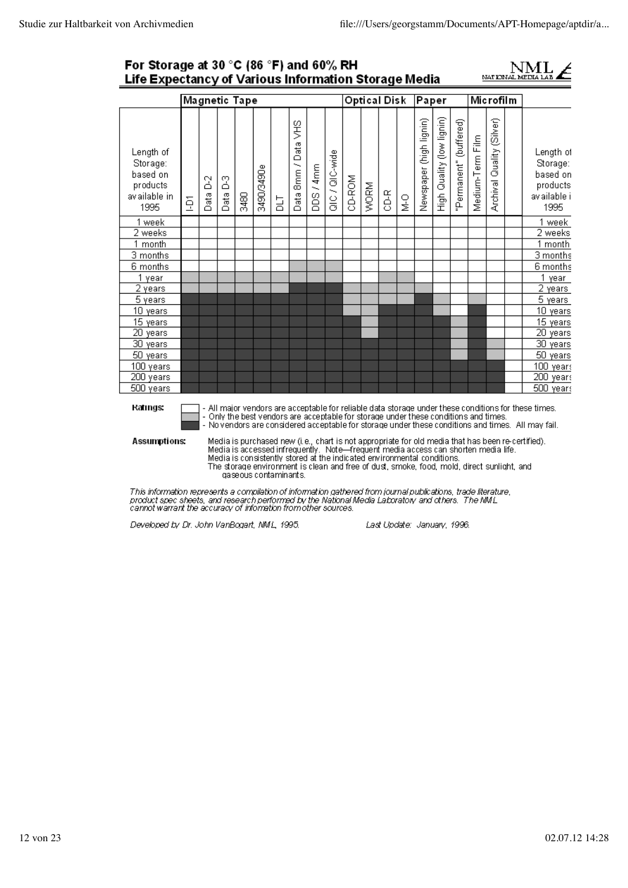### For Storage at 30 °C (86 °F) and 60% RH Life Expectancy of Various Information Storage Media



|                                                                        |   |           |               | Magnetic Tape |            |    |                             |                   |                  |        |      | Optical Disk |               | Paper                                                                                                                                                         |                              |                        |                  | Microfilm                    |                                                                                                                                                                                                            |
|------------------------------------------------------------------------|---|-----------|---------------|---------------|------------|----|-----------------------------|-------------------|------------------|--------|------|--------------|---------------|---------------------------------------------------------------------------------------------------------------------------------------------------------------|------------------------------|------------------------|------------------|------------------------------|------------------------------------------------------------------------------------------------------------------------------------------------------------------------------------------------------------|
| Length of<br>Storage:<br>based on<br>products<br>av ailable in<br>1995 | ğ | 2<br>Data | 2<br>ata<br>Ő | 8480          | 3490/3490e | Бh | SH2<br>Data<br>3mm/<br>Data | /4mm<br>isas<br>B | al C / QI C-wide | CD-ROM | WORM | 3-G          | $\frac{0}{2}$ | Newspaper (high lignin)                                                                                                                                       | Quality (low lignin)<br>figh | 'Permanent" (buffered) | Medium-Term Film | Quality (Silver)<br>Archival | Length of<br>Storage:<br>based on<br>products<br>av ailable i<br>1995                                                                                                                                      |
| 1 week                                                                 |   |           |               |               |            |    |                             |                   |                  |        |      |              |               |                                                                                                                                                               |                              |                        |                  |                              | 1 week                                                                                                                                                                                                     |
| 2 weeks                                                                |   |           |               |               |            |    |                             |                   |                  |        |      |              |               |                                                                                                                                                               |                              |                        |                  |                              | 2 weeks                                                                                                                                                                                                    |
| 1 month                                                                |   |           |               |               |            |    |                             |                   |                  |        |      |              |               |                                                                                                                                                               |                              |                        |                  |                              | $\overline{1}$ month                                                                                                                                                                                       |
| 3 months                                                               |   |           |               |               |            |    |                             |                   |                  |        |      |              |               |                                                                                                                                                               |                              |                        |                  |                              | 3 months                                                                                                                                                                                                   |
| 6 months                                                               |   |           |               |               |            |    |                             |                   |                  |        |      |              |               |                                                                                                                                                               |                              |                        |                  |                              | 6 months                                                                                                                                                                                                   |
| 1 year                                                                 |   |           |               |               |            |    |                             |                   |                  |        |      |              |               |                                                                                                                                                               |                              |                        |                  |                              | $\mathbf{1}$<br>year                                                                                                                                                                                       |
| 2 years                                                                |   |           |               |               |            |    |                             |                   |                  |        |      |              |               |                                                                                                                                                               |                              |                        |                  |                              | 2 years                                                                                                                                                                                                    |
| 5 years                                                                |   |           |               |               |            |    |                             |                   |                  |        |      |              |               |                                                                                                                                                               |                              |                        |                  |                              | 5 years                                                                                                                                                                                                    |
| 10 years                                                               |   |           |               |               |            |    |                             |                   |                  |        |      |              |               |                                                                                                                                                               |                              |                        |                  |                              | 10 years                                                                                                                                                                                                   |
| 15 years                                                               |   |           |               |               |            |    |                             |                   |                  |        |      |              |               |                                                                                                                                                               |                              |                        |                  |                              | 15 years                                                                                                                                                                                                   |
| $\overline{20}$ years                                                  |   |           |               |               |            |    |                             |                   |                  |        |      |              |               |                                                                                                                                                               |                              |                        |                  |                              | $\overline{20}$ years                                                                                                                                                                                      |
| 30 years                                                               |   |           |               |               |            |    |                             |                   |                  |        |      |              |               |                                                                                                                                                               |                              |                        |                  |                              | 30 years                                                                                                                                                                                                   |
| 50 years                                                               |   |           |               |               |            |    |                             |                   |                  |        |      |              |               |                                                                                                                                                               |                              |                        |                  |                              | 50 years                                                                                                                                                                                                   |
| 100 years                                                              |   |           |               |               |            |    |                             |                   |                  |        |      |              |               |                                                                                                                                                               |                              |                        |                  |                              | 100 years<br>200                                                                                                                                                                                           |
| 200 years<br>500 years                                                 |   |           |               |               |            |    |                             |                   |                  |        |      |              |               |                                                                                                                                                               |                              |                        |                  |                              | years<br>500 years                                                                                                                                                                                         |
| Ratıngs:                                                               |   |           |               |               |            |    |                             |                   |                  |        |      |              |               | - Only the best vendors are acceptable for storage under these conditions and times.                                                                          |                              |                        |                  |                              | - All major vendors are acceptable for reliable data storage under these conditions for these times.<br>- No vendors are considered acceptable for storage under these conditions and times. All may fail. |
| Assumptions:                                                           |   |           |               |               |            |    |                             |                   |                  |        |      |              |               | Media is accessed infrequently. Note—frequent media access can shorten media life.<br>Modia is consistantly starad of the indicated environmental conditions. |                              |                        |                  |                              | Media is purchased new (i.e., chart is not appropriate for old media that has been re-certified).                                                                                                          |

Media is consistently stored at the indicated environmental conditions.<br>The storage environment is clean and free of dust, smoke, food, mold, direct sunlight, and gaseous contaminants.

This information represents a compilation of information gathered from journal publications, trade literature,<br>product spec sheets, and research performed by the National Media Laboratory and others. The NML<br>cannot warrant

Developed by Dr. John VanBogart, NML, 1995.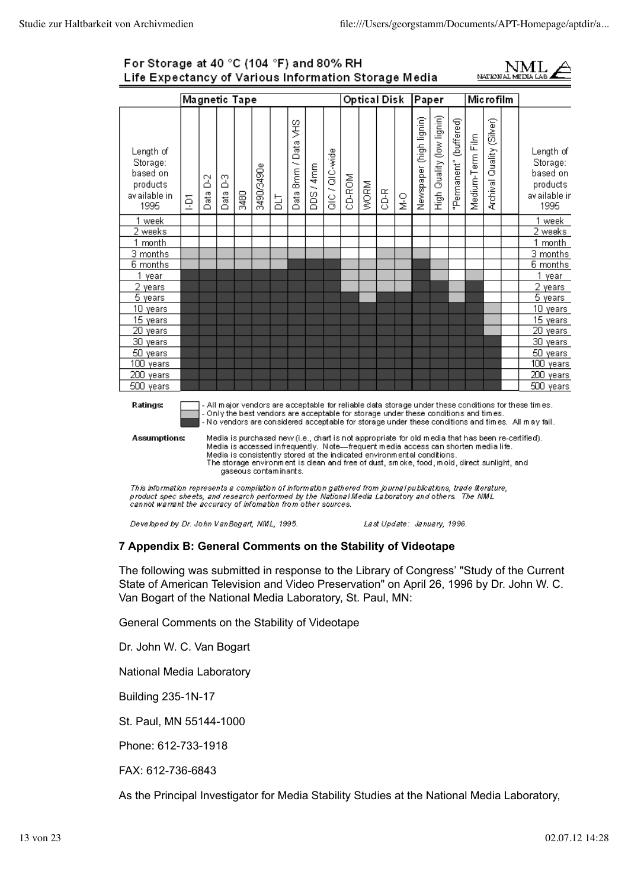### For Storage at 40 °C (104 °F) and 80% RH Life Expectancy of Various Information Storage Media



|                                                                        |   |           |           | Magnetic Tape |                       |   |                                          |                                                                                                                                                                                                                                                       |                |        |      | <b>Optical Disk</b> |                                    | Paper                   |                           |                        |                  | <b>Microfilm</b>             |                                                                                           |                                                                                                                                                                                                                                                                                                                 |
|------------------------------------------------------------------------|---|-----------|-----------|---------------|-----------------------|---|------------------------------------------|-------------------------------------------------------------------------------------------------------------------------------------------------------------------------------------------------------------------------------------------------------|----------------|--------|------|---------------------|------------------------------------|-------------------------|---------------------------|------------------------|------------------|------------------------------|-------------------------------------------------------------------------------------------|-----------------------------------------------------------------------------------------------------------------------------------------------------------------------------------------------------------------------------------------------------------------------------------------------------------------|
| Length of<br>Storage:<br>based on<br>products<br>av ailable in<br>1995 | ğ | 3<br>Data | 2<br>Data | 3480          | 3490/3490e            | 교 | SHS<br>Data<br>8mm/<br>Data <sup>1</sup> | DDS/4mm                                                                                                                                                                                                                                               | QIC / QIC-wide | CD-ROM | WORM | <b>GD-R</b>         | $\stackrel{\textstyle\circ}{\geq}$ | Newspaper (high lignin) | High Quality (low lignin) | 'Permanent" (buffered) | Medium-Term Film | Quality (Silver)<br>Archival |                                                                                           | Length of<br>Storage:<br>based on<br>products<br>av ailable in<br>1995                                                                                                                                                                                                                                          |
| 1 week                                                                 |   |           |           |               |                       |   |                                          |                                                                                                                                                                                                                                                       |                |        |      |                     |                                    |                         |                           |                        |                  |                              |                                                                                           | 1 week                                                                                                                                                                                                                                                                                                          |
| 2 weeks                                                                |   |           |           |               |                       |   |                                          |                                                                                                                                                                                                                                                       |                |        |      |                     |                                    |                         |                           |                        |                  |                              |                                                                                           | 2 weeks                                                                                                                                                                                                                                                                                                         |
| 1 month                                                                |   |           |           |               |                       |   |                                          |                                                                                                                                                                                                                                                       |                |        |      |                     |                                    |                         |                           |                        |                  |                              |                                                                                           | 1 month                                                                                                                                                                                                                                                                                                         |
| $\overline{3}$ months                                                  |   |           |           |               |                       |   |                                          |                                                                                                                                                                                                                                                       |                |        |      |                     |                                    |                         |                           |                        |                  |                              |                                                                                           | $\overline{3}$ months                                                                                                                                                                                                                                                                                           |
| 6 months                                                               |   |           |           |               |                       |   |                                          |                                                                                                                                                                                                                                                       |                |        |      |                     |                                    |                         |                           |                        |                  |                              |                                                                                           | 6 months                                                                                                                                                                                                                                                                                                        |
| 1 year                                                                 |   |           |           |               |                       |   |                                          |                                                                                                                                                                                                                                                       |                |        |      |                     |                                    |                         |                           |                        |                  |                              |                                                                                           | 1 year                                                                                                                                                                                                                                                                                                          |
| 2 years                                                                |   |           |           |               |                       |   |                                          |                                                                                                                                                                                                                                                       |                |        |      |                     |                                    |                         |                           |                        |                  |                              |                                                                                           | 2 years                                                                                                                                                                                                                                                                                                         |
| $\overline{5}$ years                                                   |   |           |           |               |                       |   |                                          |                                                                                                                                                                                                                                                       |                |        |      |                     |                                    |                         |                           |                        |                  |                              |                                                                                           | 5 years                                                                                                                                                                                                                                                                                                         |
| 10 years                                                               |   |           |           |               |                       |   |                                          |                                                                                                                                                                                                                                                       |                |        |      |                     |                                    |                         |                           |                        |                  |                              |                                                                                           | 10 years                                                                                                                                                                                                                                                                                                        |
| 15 years                                                               |   |           |           |               |                       |   |                                          |                                                                                                                                                                                                                                                       |                |        |      |                     |                                    |                         |                           |                        |                  |                              |                                                                                           | 15 years                                                                                                                                                                                                                                                                                                        |
| <b>20</b> years                                                        |   |           |           |               |                       |   |                                          |                                                                                                                                                                                                                                                       |                |        |      |                     |                                    |                         |                           |                        |                  |                              |                                                                                           | 20 years                                                                                                                                                                                                                                                                                                        |
| 30 years                                                               |   |           |           |               |                       |   |                                          |                                                                                                                                                                                                                                                       |                |        |      |                     |                                    |                         |                           |                        |                  |                              |                                                                                           | 30 years                                                                                                                                                                                                                                                                                                        |
| 50 years                                                               |   |           |           |               |                       |   |                                          |                                                                                                                                                                                                                                                       |                |        |      |                     |                                    |                         |                           |                        |                  |                              |                                                                                           | 50 years                                                                                                                                                                                                                                                                                                        |
| 100 years                                                              |   |           |           |               |                       |   |                                          |                                                                                                                                                                                                                                                       |                |        |      |                     |                                    |                         |                           |                        |                  |                              |                                                                                           | 100 years                                                                                                                                                                                                                                                                                                       |
| 200 years                                                              |   |           |           |               |                       |   |                                          |                                                                                                                                                                                                                                                       |                |        |      |                     |                                    |                         |                           |                        |                  |                              |                                                                                           | 200 years                                                                                                                                                                                                                                                                                                       |
| 500 years                                                              |   |           |           |               |                       |   |                                          |                                                                                                                                                                                                                                                       |                |        |      |                     |                                    |                         |                           |                        |                  |                              |                                                                                           | 500 years                                                                                                                                                                                                                                                                                                       |
| <b>Ratings:</b><br><b>Assumptions:</b>                                 |   |           |           |               | daseous contaminants. |   |                                          | - Only the best vendors are acceptable for storage under these conditions and times.<br>Media is accessed infrequently. Note—frequent media access can shorten media life.<br>Media is consistently stored at the indicated environmental conditions. |                |        |      |                     |                                    |                         |                           |                        |                  |                              | The storage environment is dean and free of dust, smoke, food, mold, direct sunlight, and | - All major vendors are acceptable for reliable data storage under these conditions for these times.<br>- No vendors are considered acceptable for storage under these conditions and times. All may fail.<br>Media is purchased new (i.e., chart is not appropriate for old media that has been re-certified). |

This information represents a compilation of information gathered from journal publications, trade literature,<br>product spec sheets, and research performed by the National Media Laboratory and others. The NML<br>cannot warrant

Developed by Dr. John VanBogart, NML, 1995.

Last Update: January, 1996.

### **7 Appendix B: General Comments on the Stability of Videotape**

The following was submitted in response to the Library of Congress' "Study of the Current State of American Television and Video Preservation" on April 26, 1996 by Dr. John W. C. Van Bogart of the National Media Laboratory, St. Paul, MN:

General Comments on the Stability of Videotape

Dr. John W. C. Van Bogart

National Media Laboratory

Building 235-1N-17

St. Paul, MN 55144-1000

Phone: 612-733-1918

FAX: 612-736-6843

As the Principal Investigator for Media Stability Studies at the National Media Laboratory,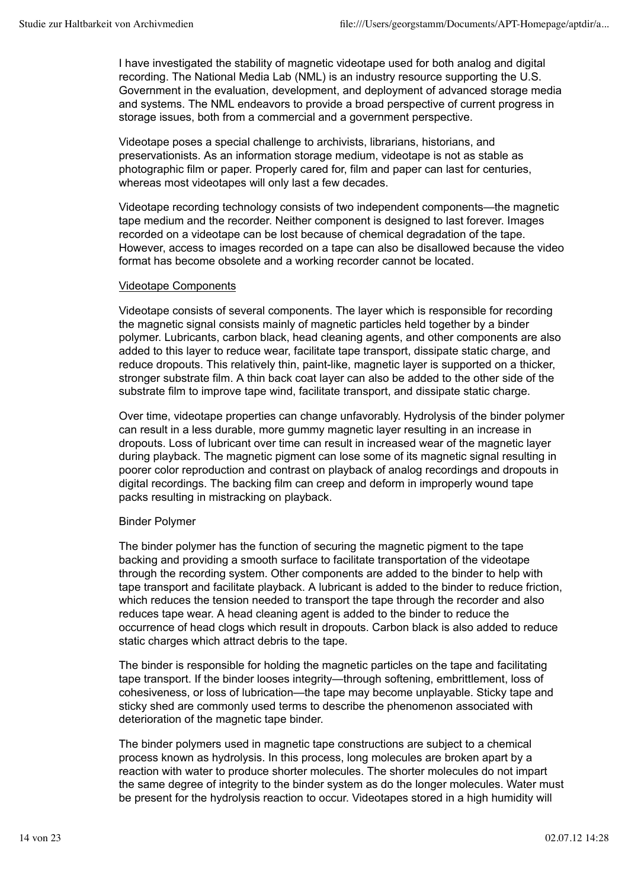I have investigated the stability of magnetic videotape used for both analog and digital recording. The National Media Lab (NML) is an industry resource supporting the U.S. Government in the evaluation, development, and deployment of advanced storage media and systems. The NML endeavors to provide a broad perspective of current progress in storage issues, both from a commercial and a government perspective.

Videotape poses a special challenge to archivists, librarians, historians, and preservationists. As an information storage medium, videotape is not as stable as photographic film or paper. Properly cared for, film and paper can last for centuries, whereas most videotapes will only last a few decades.

Videotape recording technology consists of two independent components—the magnetic tape medium and the recorder. Neither component is designed to last forever. Images recorded on a videotape can be lost because of chemical degradation of the tape. However, access to images recorded on a tape can also be disallowed because the video format has become obsolete and a working recorder cannot be located.

### Videotape Components

Videotape consists of several components. The layer which is responsible for recording the magnetic signal consists mainly of magnetic particles held together by a binder polymer. Lubricants, carbon black, head cleaning agents, and other components are also added to this layer to reduce wear, facilitate tape transport, dissipate static charge, and reduce dropouts. This relatively thin, paint-like, magnetic layer is supported on a thicker, stronger substrate film. A thin back coat layer can also be added to the other side of the substrate film to improve tape wind, facilitate transport, and dissipate static charge.

Over time, videotape properties can change unfavorably. Hydrolysis of the binder polymer can result in a less durable, more gummy magnetic layer resulting in an increase in dropouts. Loss of lubricant over time can result in increased wear of the magnetic layer during playback. The magnetic pigment can lose some of its magnetic signal resulting in poorer color reproduction and contrast on playback of analog recordings and dropouts in digital recordings. The backing film can creep and deform in improperly wound tape packs resulting in mistracking on playback.

### Binder Polymer

The binder polymer has the function of securing the magnetic pigment to the tape backing and providing a smooth surface to facilitate transportation of the videotape through the recording system. Other components are added to the binder to help with tape transport and facilitate playback. A lubricant is added to the binder to reduce friction, which reduces the tension needed to transport the tape through the recorder and also reduces tape wear. A head cleaning agent is added to the binder to reduce the occurrence of head clogs which result in dropouts. Carbon black is also added to reduce static charges which attract debris to the tape.

The binder is responsible for holding the magnetic particles on the tape and facilitating tape transport. If the binder looses integrity—through softening, embrittlement, loss of cohesiveness, or loss of lubrication—the tape may become unplayable. Sticky tape and sticky shed are commonly used terms to describe the phenomenon associated with deterioration of the magnetic tape binder.

The binder polymers used in magnetic tape constructions are subject to a chemical process known as hydrolysis. In this process, long molecules are broken apart by a reaction with water to produce shorter molecules. The shorter molecules do not impart the same degree of integrity to the binder system as do the longer molecules. Water must be present for the hydrolysis reaction to occur. Videotapes stored in a high humidity will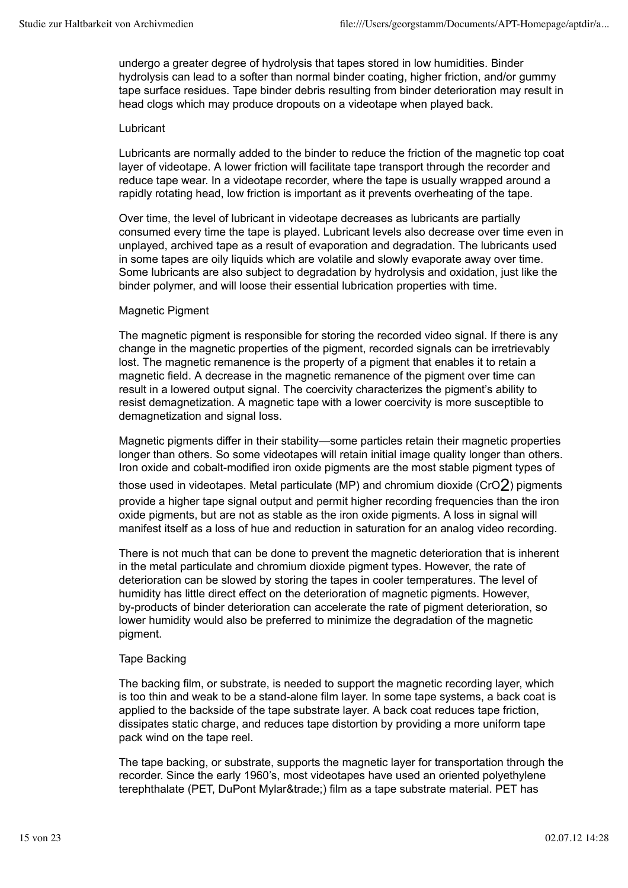undergo a greater degree of hydrolysis that tapes stored in low humidities. Binder hydrolysis can lead to a softer than normal binder coating, higher friction, and/or gummy tape surface residues. Tape binder debris resulting from binder deterioration may result in head clogs which may produce dropouts on a videotape when played back.

#### Lubricant

Lubricants are normally added to the binder to reduce the friction of the magnetic top coat layer of videotape. A lower friction will facilitate tape transport through the recorder and reduce tape wear. In a videotape recorder, where the tape is usually wrapped around a rapidly rotating head, low friction is important as it prevents overheating of the tape.

Over time, the level of lubricant in videotape decreases as lubricants are partially consumed every time the tape is played. Lubricant levels also decrease over time even in unplayed, archived tape as a result of evaporation and degradation. The lubricants used in some tapes are oily liquids which are volatile and slowly evaporate away over time. Some lubricants are also subject to degradation by hydrolysis and oxidation, just like the binder polymer, and will loose their essential lubrication properties with time.

### Magnetic Pigment

The magnetic pigment is responsible for storing the recorded video signal. If there is any change in the magnetic properties of the pigment, recorded signals can be irretrievably lost. The magnetic remanence is the property of a pigment that enables it to retain a magnetic field. A decrease in the magnetic remanence of the pigment over time can result in a lowered output signal. The coercivity characterizes the pigment's ability to resist demagnetization. A magnetic tape with a lower coercivity is more susceptible to demagnetization and signal loss.

Magnetic pigments differ in their stability—some particles retain their magnetic properties longer than others. So some videotapes will retain initial image quality longer than others. Iron oxide and cobalt-modified iron oxide pigments are the most stable pigment types of those used in videotapes. Metal particulate (MP) and chromium dioxide (CrO $2$ ) pigments provide a higher tape signal output and permit higher recording frequencies than the iron oxide pigments, but are not as stable as the iron oxide pigments. A loss in signal will manifest itself as a loss of hue and reduction in saturation for an analog video recording.

There is not much that can be done to prevent the magnetic deterioration that is inherent in the metal particulate and chromium dioxide pigment types. However, the rate of deterioration can be slowed by storing the tapes in cooler temperatures. The level of humidity has little direct effect on the deterioration of magnetic pigments. However, by-products of binder deterioration can accelerate the rate of pigment deterioration, so lower humidity would also be preferred to minimize the degradation of the magnetic pigment.

### Tape Backing

The backing film, or substrate, is needed to support the magnetic recording layer, which is too thin and weak to be a stand-alone film layer. In some tape systems, a back coat is applied to the backside of the tape substrate layer. A back coat reduces tape friction, dissipates static charge, and reduces tape distortion by providing a more uniform tape pack wind on the tape reel.

The tape backing, or substrate, supports the magnetic layer for transportation through the recorder. Since the early 1960's, most videotapes have used an oriented polyethylene terephthalate (PET, DuPont Mylar™) film as a tape substrate material. PET has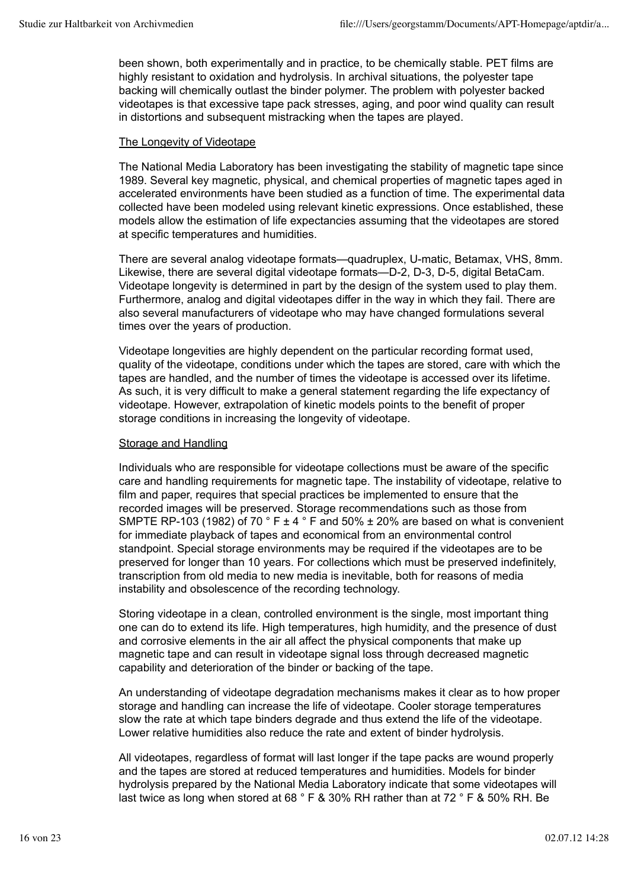been shown, both experimentally and in practice, to be chemically stable. PET films are highly resistant to oxidation and hydrolysis. In archival situations, the polyester tape backing will chemically outlast the binder polymer. The problem with polyester backed videotapes is that excessive tape pack stresses, aging, and poor wind quality can result in distortions and subsequent mistracking when the tapes are played.

### The Longevity of Videotape

The National Media Laboratory has been investigating the stability of magnetic tape since 1989. Several key magnetic, physical, and chemical properties of magnetic tapes aged in accelerated environments have been studied as a function of time. The experimental data collected have been modeled using relevant kinetic expressions. Once established, these models allow the estimation of life expectancies assuming that the videotapes are stored at specific temperatures and humidities.

There are several analog videotape formats—quadruplex, U-matic, Betamax, VHS, 8mm. Likewise, there are several digital videotape formats—D-2, D-3, D-5, digital BetaCam. Videotape longevity is determined in part by the design of the system used to play them. Furthermore, analog and digital videotapes differ in the way in which they fail. There are also several manufacturers of videotape who may have changed formulations several times over the years of production.

Videotape longevities are highly dependent on the particular recording format used, quality of the videotape, conditions under which the tapes are stored, care with which the tapes are handled, and the number of times the videotape is accessed over its lifetime. As such, it is very difficult to make a general statement regarding the life expectancy of videotape. However, extrapolation of kinetic models points to the benefit of proper storage conditions in increasing the longevity of videotape.

### Storage and Handling

Individuals who are responsible for videotape collections must be aware of the specific care and handling requirements for magnetic tape. The instability of videotape, relative to film and paper, requires that special practices be implemented to ensure that the recorded images will be preserved. Storage recommendations such as those from SMPTE RP-103 (1982) of 70  $\degree$  F  $\pm$  4  $\degree$  F and 50%  $\pm$  20% are based on what is convenient for immediate playback of tapes and economical from an environmental control standpoint. Special storage environments may be required if the videotapes are to be preserved for longer than 10 years. For collections which must be preserved indefinitely, transcription from old media to new media is inevitable, both for reasons of media instability and obsolescence of the recording technology.

Storing videotape in a clean, controlled environment is the single, most important thing one can do to extend its life. High temperatures, high humidity, and the presence of dust and corrosive elements in the air all affect the physical components that make up magnetic tape and can result in videotape signal loss through decreased magnetic capability and deterioration of the binder or backing of the tape.

An understanding of videotape degradation mechanisms makes it clear as to how proper storage and handling can increase the life of videotape. Cooler storage temperatures slow the rate at which tape binders degrade and thus extend the life of the videotape. Lower relative humidities also reduce the rate and extent of binder hydrolysis.

All videotapes, regardless of format will last longer if the tape packs are wound properly and the tapes are stored at reduced temperatures and humidities. Models for binder hydrolysis prepared by the National Media Laboratory indicate that some videotapes will last twice as long when stored at 68 ° F & 30% RH rather than at 72 ° F & 50% RH. Be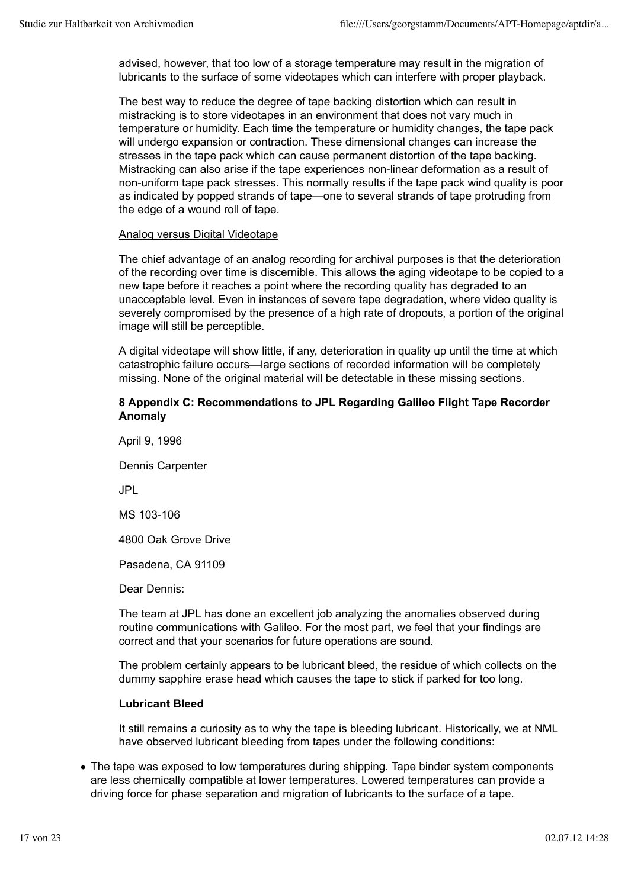advised, however, that too low of a storage temperature may result in the migration of lubricants to the surface of some videotapes which can interfere with proper playback.

The best way to reduce the degree of tape backing distortion which can result in mistracking is to store videotapes in an environment that does not vary much in temperature or humidity. Each time the temperature or humidity changes, the tape pack will undergo expansion or contraction. These dimensional changes can increase the stresses in the tape pack which can cause permanent distortion of the tape backing. Mistracking can also arise if the tape experiences non-linear deformation as a result of non-uniform tape pack stresses. This normally results if the tape pack wind quality is poor as indicated by popped strands of tape—one to several strands of tape protruding from the edge of a wound roll of tape.

### Analog versus Digital Videotape

The chief advantage of an analog recording for archival purposes is that the deterioration of the recording over time is discernible. This allows the aging videotape to be copied to a new tape before it reaches a point where the recording quality has degraded to an unacceptable level. Even in instances of severe tape degradation, where video quality is severely compromised by the presence of a high rate of dropouts, a portion of the original image will still be perceptible.

A digital videotape will show little, if any, deterioration in quality up until the time at which catastrophic failure occurs—large sections of recorded information will be completely missing. None of the original material will be detectable in these missing sections.

### **8 Appendix C: Recommendations to JPL Regarding Galileo Flight Tape Recorder Anomaly**

April 9, 1996 Dennis Carpenter JPL MS 103-106 4800 Oak Grove Drive Pasadena, CA 91109

Dear Dennis:

The team at JPL has done an excellent job analyzing the anomalies observed during routine communications with Galileo. For the most part, we feel that your findings are correct and that your scenarios for future operations are sound.

The problem certainly appears to be lubricant bleed, the residue of which collects on the dummy sapphire erase head which causes the tape to stick if parked for too long.

### **Lubricant Bleed**

It still remains a curiosity as to why the tape is bleeding lubricant. Historically, we at NML have observed lubricant bleeding from tapes under the following conditions:

• The tape was exposed to low temperatures during shipping. Tape binder system components are less chemically compatible at lower temperatures. Lowered temperatures can provide a driving force for phase separation and migration of lubricants to the surface of a tape.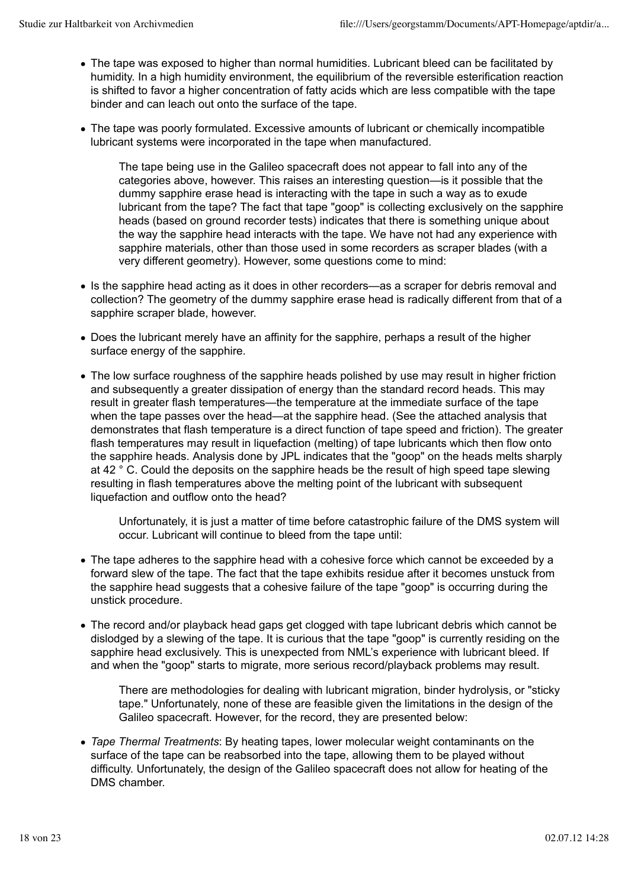- The tape was exposed to higher than normal humidities. Lubricant bleed can be facilitated by humidity. In a high humidity environment, the equilibrium of the reversible esterification reaction is shifted to favor a higher concentration of fatty acids which are less compatible with the tape binder and can leach out onto the surface of the tape.
- The tape was poorly formulated. Excessive amounts of lubricant or chemically incompatible lubricant systems were incorporated in the tape when manufactured.

The tape being use in the Galileo spacecraft does not appear to fall into any of the categories above, however. This raises an interesting question—is it possible that the dummy sapphire erase head is interacting with the tape in such a way as to exude lubricant from the tape? The fact that tape "goop" is collecting exclusively on the sapphire heads (based on ground recorder tests) indicates that there is something unique about the way the sapphire head interacts with the tape. We have not had any experience with sapphire materials, other than those used in some recorders as scraper blades (with a very different geometry). However, some questions come to mind:

- Is the sapphire head acting as it does in other recorders—as a scraper for debris removal and collection? The geometry of the dummy sapphire erase head is radically different from that of a sapphire scraper blade, however.
- Does the lubricant merely have an affinity for the sapphire, perhaps a result of the higher surface energy of the sapphire.
- The low surface roughness of the sapphire heads polished by use may result in higher friction and subsequently a greater dissipation of energy than the standard record heads. This may result in greater flash temperatures—the temperature at the immediate surface of the tape when the tape passes over the head—at the sapphire head. (See the attached analysis that demonstrates that flash temperature is a direct function of tape speed and friction). The greater flash temperatures may result in liquefaction (melting) of tape lubricants which then flow onto the sapphire heads. Analysis done by JPL indicates that the "goop" on the heads melts sharply at 42 ° C. Could the deposits on the sapphire heads be the result of high speed tape slewing resulting in flash temperatures above the melting point of the lubricant with subsequent liquefaction and outflow onto the head?

Unfortunately, it is just a matter of time before catastrophic failure of the DMS system will occur. Lubricant will continue to bleed from the tape until:

- The tape adheres to the sapphire head with a cohesive force which cannot be exceeded by a forward slew of the tape. The fact that the tape exhibits residue after it becomes unstuck from the sapphire head suggests that a cohesive failure of the tape "goop" is occurring during the unstick procedure.
- The record and/or playback head gaps get clogged with tape lubricant debris which cannot be dislodged by a slewing of the tape. It is curious that the tape "goop" is currently residing on the sapphire head exclusively. This is unexpected from NML's experience with lubricant bleed. If and when the "goop" starts to migrate, more serious record/playback problems may result.

There are methodologies for dealing with lubricant migration, binder hydrolysis, or "sticky tape." Unfortunately, none of these are feasible given the limitations in the design of the Galileo spacecraft. However, for the record, they are presented below:

*Tape Thermal Treatments*: By heating tapes, lower molecular weight contaminants on the surface of the tape can be reabsorbed into the tape, allowing them to be played without difficulty. Unfortunately, the design of the Galileo spacecraft does not allow for heating of the DMS chamber.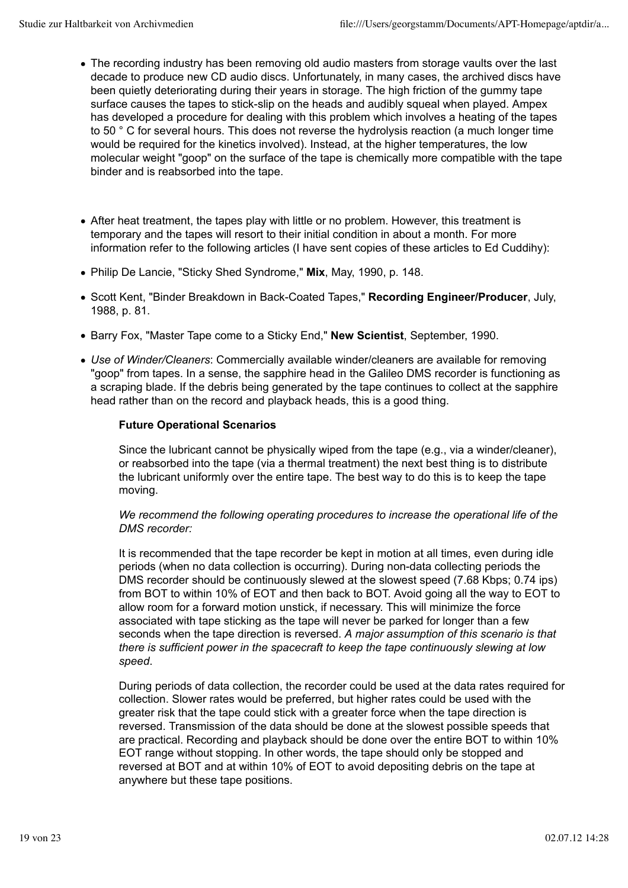- The recording industry has been removing old audio masters from storage vaults over the last decade to produce new CD audio discs. Unfortunately, in many cases, the archived discs have been quietly deteriorating during their years in storage. The high friction of the gummy tape surface causes the tapes to stick-slip on the heads and audibly squeal when played. Ampex has developed a procedure for dealing with this problem which involves a heating of the tapes to 50 ° C for several hours. This does not reverse the hydrolysis reaction (a much longer time would be required for the kinetics involved). Instead, at the higher temperatures, the low molecular weight "goop" on the surface of the tape is chemically more compatible with the tape binder and is reabsorbed into the tape.
- After heat treatment, the tapes play with little or no problem. However, this treatment is temporary and the tapes will resort to their initial condition in about a month. For more information refer to the following articles (I have sent copies of these articles to Ed Cuddihy):
- Philip De Lancie, "Sticky Shed Syndrome," **Mix**, May, 1990, p. 148.
- Scott Kent, "Binder Breakdown in Back-Coated Tapes," **Recording Engineer/Producer**, July, 1988, p. 81.
- Barry Fox, "Master Tape come to a Sticky End," **New Scientist**, September, 1990.
- *Use of Winder/Cleaners*: Commercially available winder/cleaners are available for removing "goop" from tapes. In a sense, the sapphire head in the Galileo DMS recorder is functioning as a scraping blade. If the debris being generated by the tape continues to collect at the sapphire head rather than on the record and playback heads, this is a good thing.

### **Future Operational Scenarios**

Since the lubricant cannot be physically wiped from the tape (e.g., via a winder/cleaner), or reabsorbed into the tape (via a thermal treatment) the next best thing is to distribute the lubricant uniformly over the entire tape. The best way to do this is to keep the tape moving.

### *We recommend the following operating procedures to increase the operational life of the DMS recorder:*

It is recommended that the tape recorder be kept in motion at all times, even during idle periods (when no data collection is occurring). During non-data collecting periods the DMS recorder should be continuously slewed at the slowest speed (7.68 Kbps; 0.74 ips) from BOT to within 10% of EOT and then back to BOT. Avoid going all the way to EOT to allow room for a forward motion unstick, if necessary. This will minimize the force associated with tape sticking as the tape will never be parked for longer than a few seconds when the tape direction is reversed. *A major assumption of this scenario is that there is sufficient power in the spacecraft to keep the tape continuously slewing at low speed*.

During periods of data collection, the recorder could be used at the data rates required for collection. Slower rates would be preferred, but higher rates could be used with the greater risk that the tape could stick with a greater force when the tape direction is reversed. Transmission of the data should be done at the slowest possible speeds that are practical. Recording and playback should be done over the entire BOT to within 10% EOT range without stopping. In other words, the tape should only be stopped and reversed at BOT and at within 10% of EOT to avoid depositing debris on the tape at anywhere but these tape positions.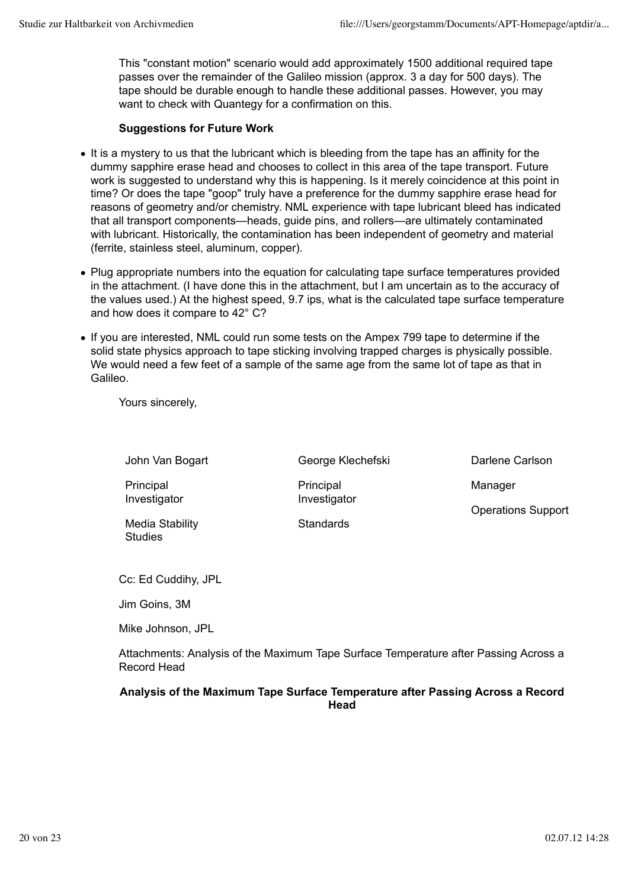This "constant motion" scenario would add approximately 1500 additional required tape passes over the remainder of the Galileo mission (approx. 3 a day for 500 days). The tape should be durable enough to handle these additional passes. However, you may want to check with Quantegy for a confirmation on this.

### **Suggestions for Future Work**

- It is a mystery to us that the lubricant which is bleeding from the tape has an affinity for the dummy sapphire erase head and chooses to collect in this area of the tape transport. Future work is suggested to understand why this is happening. Is it merely coincidence at this point in time? Or does the tape "goop" truly have a preference for the dummy sapphire erase head for reasons of geometry and/or chemistry. NML experience with tape lubricant bleed has indicated that all transport components—heads, guide pins, and rollers—are ultimately contaminated with lubricant. Historically, the contamination has been independent of geometry and material (ferrite, stainless steel, aluminum, copper).
- Plug appropriate numbers into the equation for calculating tape surface temperatures provided in the attachment. (I have done this in the attachment, but I am uncertain as to the accuracy of the values used.) At the highest speed, 9.7 ips, what is the calculated tape surface temperature and how does it compare to 42° C?
- If you are interested, NML could run some tests on the Ampex 799 tape to determine if the solid state physics approach to tape sticking involving trapped charges is physically possible. We would need a few feet of a sample of the same age from the same lot of tape as that in Galileo.

Yours sincerely,

John Van Bogart

George Klechefski **Principal** Investigator

**Standards** 

Darlene Carlson Manager Operations Support

Media Stability **Studies** 

**Principal** Investigator

Cc: Ed Cuddihy, JPL

Jim Goins, 3M

Mike Johnson, JPL

Attachments: Analysis of the Maximum Tape Surface Temperature after Passing Across a Record Head

### **Analysis of the Maximum Tape Surface Temperature after Passing Across a Record Head**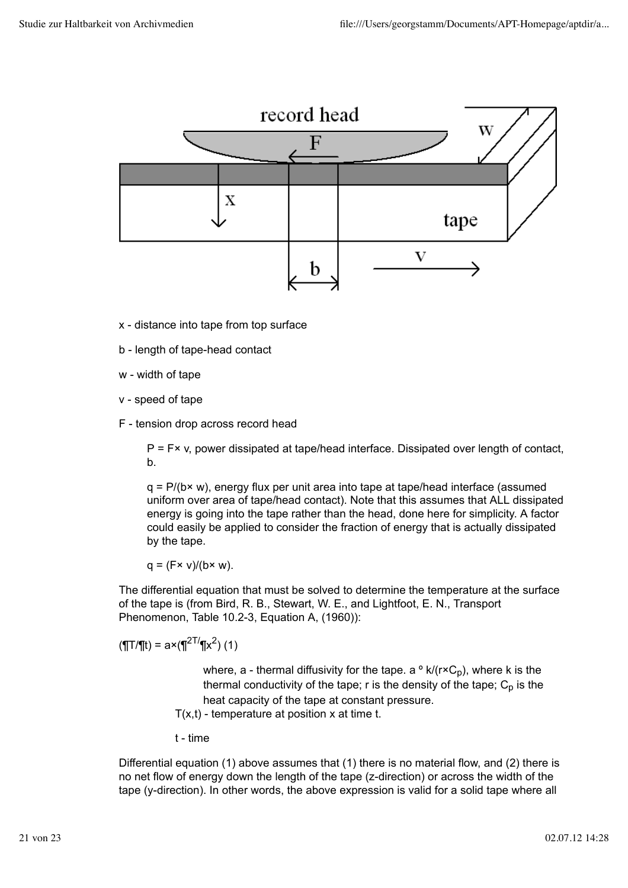

- x distance into tape from top surface
- b length of tape-head contact
- w width of tape
- v speed of tape
- F tension drop across record head

 $P = F \times v$ , power dissipated at tape/head interface. Dissipated over length of contact, b.

 $q = P/(b \times w)$ , energy flux per unit area into tape at tape/head interface (assumed uniform over area of tape/head contact). Note that this assumes that ALL dissipated energy is going into the tape rather than the head, done here for simplicity. A factor could easily be applied to consider the fraction of energy that is actually dissipated by the tape.

 $q = (Fx \vee)/(bx \vee c)$ .

The differential equation that must be solved to determine the temperature at the surface of the tape is (from Bird, R. B., Stewart, W. E., and Lightfoot, E. N., Transport Phenomenon, Table 10.2-3, Equation A, (1960)):

$$
(\P T/\P t) = a \times (\P^{2T/\P} x^2) (1)
$$

where, a - thermal diffusivity for the tape. a  $\circ$  k/( $r \times C_p$ ), where k is the thermal conductivity of the tape;  $r$  is the density of the tape;  $C_p$  is the heat capacity of the tape at constant pressure. T(x,t) - temperature at position x at time t.

t - time

Differential equation (1) above assumes that (1) there is no material flow, and (2) there is no net flow of energy down the length of the tape (z-direction) or across the width of the tape (y-direction). In other words, the above expression is valid for a solid tape where all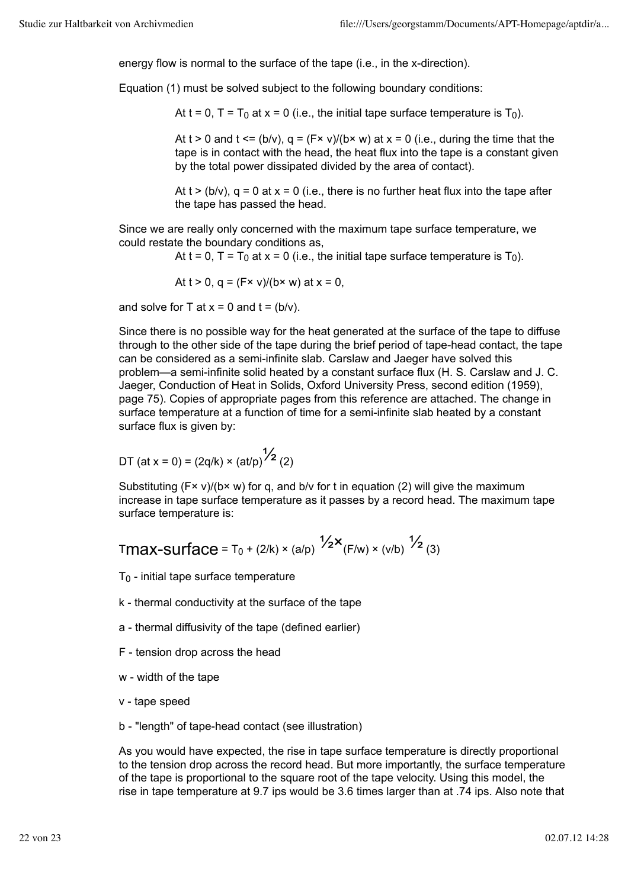energy flow is normal to the surface of the tape (i.e., in the x-direction).

Equation (1) must be solved subject to the following boundary conditions:

At t = 0, T =  $T_0$  at x = 0 (i.e., the initial tape surface temperature is  $T_0$ ).

At t  $> 0$  and t  $\leq$  (b/v),  $q = (Fx \vee)/(bx \vee x)$  at  $x = 0$  (i.e., during the time that the tape is in contact with the head, the heat flux into the tape is a constant given by the total power dissipated divided by the area of contact).

At  $t > (b/v)$ ,  $q = 0$  at  $x = 0$  (i.e., there is no further heat flux into the tape after the tape has passed the head.

Since we are really only concerned with the maximum tape surface temperature, we could restate the boundary conditions as,

At t = 0,  $T = T_0$  at x = 0 (i.e., the initial tape surface temperature is  $T_0$ ).

At  $t > 0$ ,  $q = (F \times v)/(b \times w)$  at  $x = 0$ ,

and solve for T at  $x = 0$  and  $t = (b/v)$ .

Since there is no possible way for the heat generated at the surface of the tape to diffuse through to the other side of the tape during the brief period of tape-head contact, the tape can be considered as a semi-infinite slab. Carslaw and Jaeger have solved this problem—a semi-infinite solid heated by a constant surface flux (H. S. Carslaw and J. C. Jaeger, Conduction of Heat in Solids, Oxford University Press, second edition (1959), page 75). Copies of appropriate pages from this reference are attached. The change in surface temperature at a function of time for a semi-infinite slab heated by a constant surface flux is given by:

DT (at x = 0) = 
$$
(2q/k) \times (at/p)^{1/2}
$$
 (2)

Substituting  $(F \times v)/(b \times w)$  for q, and b/v for t in equation (2) will give the maximum increase in tape surface temperature as it passes by a record head. The maximum tape surface temperature is:

$$
\text{T} \text{max-surface} = T_0 + (2/k) \times (a/p) \frac{1}{2} \times (F/w) \times (v/b) \frac{1}{2} (3)
$$

 $T_0$  - initial tape surface temperature

- k thermal conductivity at the surface of the tape
- a thermal diffusivity of the tape (defined earlier)
- F tension drop across the head
- w width of the tape
- v tape speed
- b "length" of tape-head contact (see illustration)

As you would have expected, the rise in tape surface temperature is directly proportional to the tension drop across the record head. But more importantly, the surface temperature of the tape is proportional to the square root of the tape velocity. Using this model, the rise in tape temperature at 9.7 ips would be 3.6 times larger than at .74 ips. Also note that